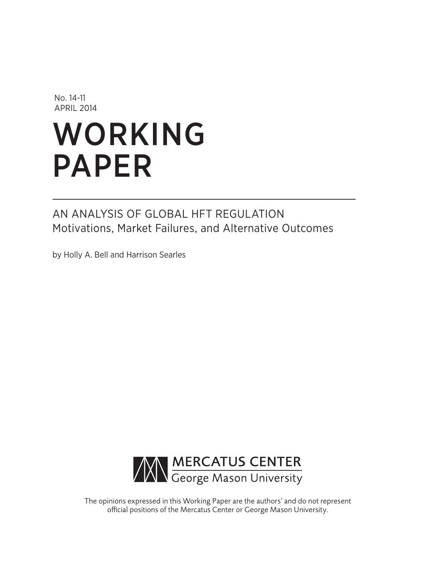No. 14-11 APRIL 2014

# WORKING PAPER

# AN ANALYSIS OF GLOBAL HFT REGULATION Motivations, Market Failures, and Alternative Outcomes

by Holly A. Bell and Harrison Searles



The opinions expressed in this Working Paper are the authors' and do not represent official positions of the Mercatus Center or George Mason University.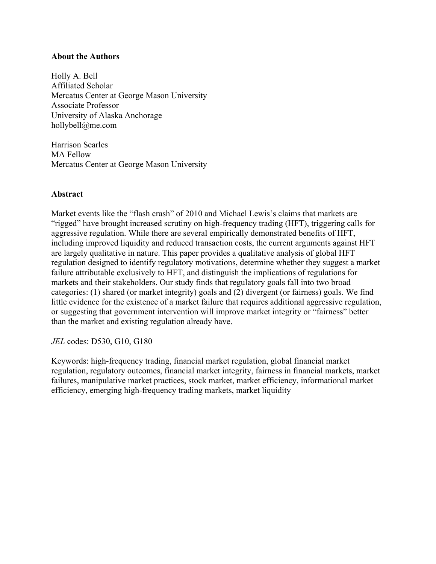# **About the Authors**

Holly A. Bell Affiliated Scholar Mercatus Center at George Mason University Associate Professor University of Alaska Anchorage [hollybell@me.com](mailto:hollybell@me.com)

Harrison Searles MA Fellow Mercatus Center at George Mason University

# **Abstract**

Market events like the "flash crash" of 2010 and Michael Lewis's claims that markets are "rigged" have brought increased scrutiny on high-frequency trading (HFT), triggering calls for aggressive regulation. While there are several empirically demonstrated benefits of HFT, including improved liquidity and reduced transaction costs, the current arguments against HFT are largely qualitative in nature. This paper provides a qualitative analysis of global HFT regulation designed to identify regulatory motivations, determine whether they suggest a market failure attributable exclusively to HFT, and distinguish the implications of regulations for markets and their stakeholders. Our study finds that regulatory goals fall into two broad categories: (1) shared (or market integrity) goals and (2) divergent (or fairness) goals. We find little evidence for the existence of a market failure that requires additional aggressive regulation, or suggesting that government intervention will improve market integrity or "fairness" better than the market and existing regulation already have.

*JEL* codes: D530, G10, G180

Keywords: high-frequency trading, financial market regulation, global financial market regulation, regulatory outcomes, financial market integrity, fairness in financial markets, market failures, manipulative market practices, stock market, market efficiency, informational market efficiency, emerging high-frequency trading markets, market liquidity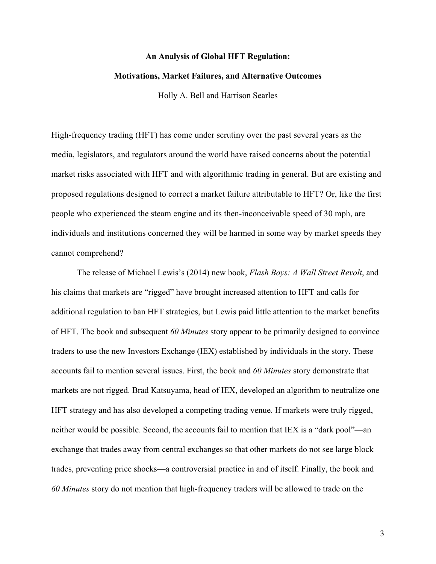#### **An Analysis of Global HFT Regulation:**

#### **Motivations, Market Failures, and Alternative Outcomes**

Holly A. Bell and Harrison Searles

High-frequency trading (HFT) has come under scrutiny over the past several years as the media, legislators, and regulators around the world have raised concerns about the potential market risks associated with HFT and with algorithmic trading in general. But are existing and proposed regulations designed to correct a market failure attributable to HFT? Or, like the first people who experienced the steam engine and its then-inconceivable speed of 30 mph, are individuals and institutions concerned they will be harmed in some way by market speeds they cannot comprehend?

The release of Michael Lewis's (2014) new book, *Flash Boys: A Wall Street Revolt*, and his claims that markets are "rigged" have brought increased attention to HFT and calls for additional regulation to ban HFT strategies, but Lewis paid little attention to the market benefits of HFT. The book and subsequent *60 Minutes* story appear to be primarily designed to convince traders to use the new Investors Exchange (IEX) established by individuals in the story. These accounts fail to mention several issues. First, the book and *60 Minutes* story demonstrate that markets are not rigged. Brad Katsuyama, head of IEX, developed an algorithm to neutralize one HFT strategy and has also developed a competing trading venue. If markets were truly rigged, neither would be possible. Second, the accounts fail to mention that IEX is a "dark pool"—an exchange that trades away from central exchanges so that other markets do not see large block trades, preventing price shocks—a controversial practice in and of itself. Finally, the book and *60 Minutes* story do not mention that high-frequency traders will be allowed to trade on the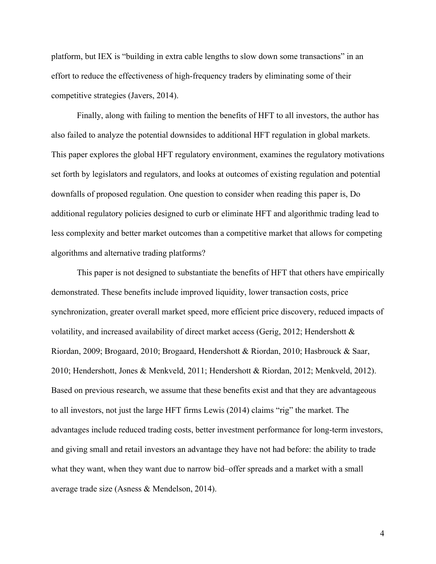platform, but IEX is "building in extra cable lengths to slow down some transactions" in an effort to reduce the effectiveness of high-frequency traders by eliminating some of their competitive strategies (Javers, 2014).

Finally, along with failing to mention the benefits of HFT to all investors, the author has also failed to analyze the potential downsides to additional HFT regulation in global markets. This paper explores the global HFT regulatory environment, examines the regulatory motivations set forth by legislators and regulators, and looks at outcomes of existing regulation and potential downfalls of proposed regulation. One question to consider when reading this paper is, Do additional regulatory policies designed to curb or eliminate HFT and algorithmic trading lead to less complexity and better market outcomes than a competitive market that allows for competing algorithms and alternative trading platforms?

This paper is not designed to substantiate the benefits of HFT that others have empirically demonstrated. These benefits include improved liquidity, lower transaction costs, price synchronization, greater overall market speed, more efficient price discovery, reduced impacts of volatility, and increased availability of direct market access (Gerig, 2012; Hendershott & Riordan, 2009; Brogaard, 2010; Brogaard, Hendershott & Riordan, 2010; Hasbrouck & Saar, 2010; Hendershott, Jones & Menkveld, 2011; Hendershott & Riordan, 2012; Menkveld, 2012). Based on previous research, we assume that these benefits exist and that they are advantageous to all investors, not just the large HFT firms Lewis (2014) claims "rig" the market. The advantages include reduced trading costs, better investment performance for long-term investors, and giving small and retail investors an advantage they have not had before: the ability to trade what they want, when they want due to narrow bid–offer spreads and a market with a small average trade size (Asness & Mendelson, 2014).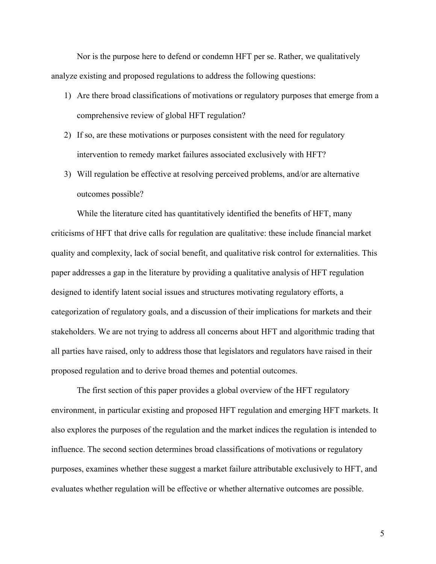Nor is the purpose here to defend or condemn HFT per se. Rather, we qualitatively analyze existing and proposed regulations to address the following questions:

- 1) Are there broad classifications of motivations or regulatory purposes that emerge from a comprehensive review of global HFT regulation?
- 2) If so, are these motivations or purposes consistent with the need for regulatory intervention to remedy market failures associated exclusively with HFT?
- 3) Will regulation be effective at resolving perceived problems, and/or are alternative outcomes possible?

While the literature cited has quantitatively identified the benefits of HFT, many criticisms of HFT that drive calls for regulation are qualitative: these include financial market quality and complexity, lack of social benefit, and qualitative risk control for externalities. This paper addresses a gap in the literature by providing a qualitative analysis of HFT regulation designed to identify latent social issues and structures motivating regulatory efforts, a categorization of regulatory goals, and a discussion of their implications for markets and their stakeholders. We are not trying to address all concerns about HFT and algorithmic trading that all parties have raised, only to address those that legislators and regulators have raised in their proposed regulation and to derive broad themes and potential outcomes.

The first section of this paper provides a global overview of the HFT regulatory environment, in particular existing and proposed HFT regulation and emerging HFT markets. It also explores the purposes of the regulation and the market indices the regulation is intended to influence. The second section determines broad classifications of motivations or regulatory purposes, examines whether these suggest a market failure attributable exclusively to HFT, and evaluates whether regulation will be effective or whether alternative outcomes are possible.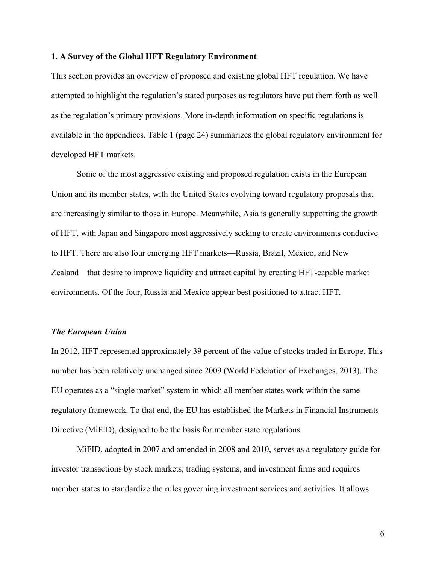#### **1. A Survey of the Global HFT Regulatory Environment**

This section provides an overview of proposed and existing global HFT regulation. We have attempted to highlight the regulation's stated purposes as regulators have put them forth as well as the regulation's primary provisions. More in-depth information on specific regulations is available in the appendices. Table 1 (page 24) summarizes the global regulatory environment for developed HFT markets.

Some of the most aggressive existing and proposed regulation exists in the European Union and its member states, with the United States evolving toward regulatory proposals that are increasingly similar to those in Europe. Meanwhile, Asia is generally supporting the growth of HFT, with Japan and Singapore most aggressively seeking to create environments conducive to HFT. There are also four emerging HFT markets—Russia, Brazil, Mexico, and New Zealand—that desire to improve liquidity and attract capital by creating HFT-capable market environments. Of the four, Russia and Mexico appear best positioned to attract HFT.

#### *The European Union*

In 2012, HFT represented approximately 39 percent of the value of stocks traded in Europe. This number has been relatively unchanged since 2009 (World Federation of Exchanges, 2013). The EU operates as a "single market" system in which all member states work within the same regulatory framework. To that end, the EU has established the Markets in Financial Instruments Directive (MiFID), designed to be the basis for member state regulations.

MiFID, adopted in 2007 and amended in 2008 and 2010, serves as a regulatory guide for investor transactions by stock markets, trading systems, and investment firms and requires member states to standardize the rules governing investment services and activities. It allows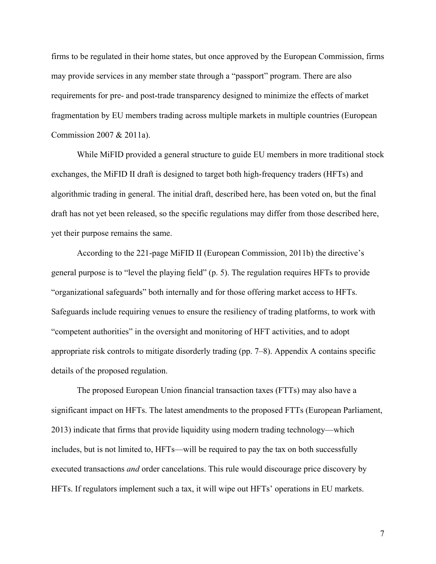firms to be regulated in their home states, but once approved by the European Commission, firms may provide services in any member state through a "passport" program. There are also requirements for pre- and post-trade transparency designed to minimize the effects of market fragmentation by EU members trading across multiple markets in multiple countries (European Commission 2007 & 2011a).

While MiFID provided a general structure to guide EU members in more traditional stock exchanges, the MiFID II draft is designed to target both high-frequency traders (HFTs) and algorithmic trading in general. The initial draft, described here, has been voted on, but the final draft has not yet been released, so the specific regulations may differ from those described here, yet their purpose remains the same.

According to the 221-page MiFID II (European Commission, 2011b) the directive's general purpose is to "level the playing field" (p. 5). The regulation requires HFTs to provide "organizational safeguards" both internally and for those offering market access to HFTs. Safeguards include requiring venues to ensure the resiliency of trading platforms, to work with "competent authorities" in the oversight and monitoring of HFT activities, and to adopt appropriate risk controls to mitigate disorderly trading (pp. 7–8). Appendix A contains specific details of the proposed regulation.

The proposed European Union financial transaction taxes (FTTs) may also have a significant impact on HFTs. The latest amendments to the proposed FTTs (European Parliament, 2013) indicate that firms that provide liquidity using modern trading technology—which includes, but is not limited to, HFTs—will be required to pay the tax on both successfully executed transactions *and* order cancelations. This rule would discourage price discovery by HFTs. If regulators implement such a tax, it will wipe out HFTs' operations in EU markets.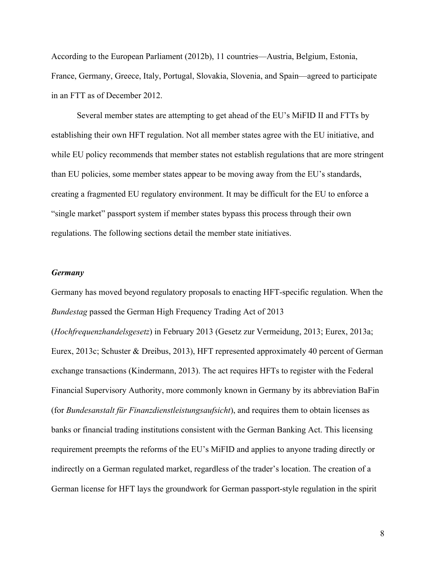According to the European Parliament (2012b), 11 countries—Austria, Belgium, Estonia, France, Germany, Greece, Italy, Portugal, Slovakia, Slovenia, and Spain—agreed to participate in an FTT as of December 2012.

Several member states are attempting to get ahead of the EU's MiFID II and FTTs by establishing their own HFT regulation. Not all member states agree with the EU initiative, and while EU policy recommends that member states not establish regulations that are more stringent than EU policies, some member states appear to be moving away from the EU's standards, creating a fragmented EU regulatory environment. It may be difficult for the EU to enforce a "single market" passport system if member states bypass this process through their own regulations. The following sections detail the member state initiatives.

#### *Germany*

Germany has moved beyond regulatory proposals to enacting HFT-specific regulation. When the *Bundestag* passed the German High Frequency Trading Act of 2013

(*Hochfrequenzhandelsgesetz*) in February 2013 (Gesetz zur Vermeidung, 2013; Eurex, 2013a; Eurex, 2013c; Schuster & Dreibus, 2013), HFT represented approximately 40 percent of German exchange transactions (Kindermann, 2013). The act requires HFTs to register with the Federal Financial Supervisory Authority, more commonly known in Germany by its abbreviation BaFin (for *Bundesanstalt für Finanzdienstleistungsaufsicht*), and requires them to obtain licenses as banks or financial trading institutions consistent with the German Banking Act. This licensing requirement preempts the reforms of the EU's MiFID and applies to anyone trading directly or indirectly on a German regulated market, regardless of the trader's location. The creation of a German license for HFT lays the groundwork for German passport-style regulation in the spirit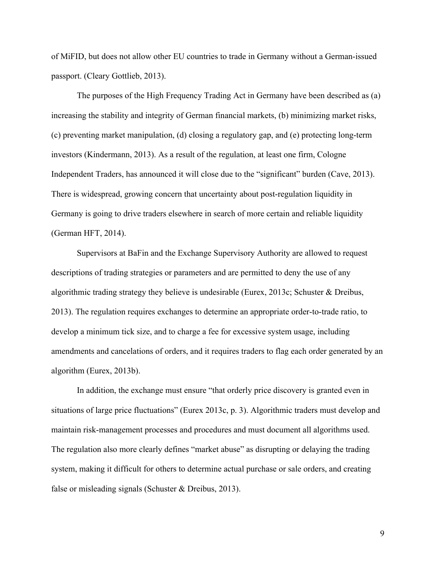of MiFID, but does not allow other EU countries to trade in Germany without a German-issued passport. (Cleary Gottlieb, 2013).

The purposes of the High Frequency Trading Act in Germany have been described as (a) increasing the stability and integrity of German financial markets, (b) minimizing market risks, (c) preventing market manipulation, (d) closing a regulatory gap, and (e) protecting long-term investors (Kindermann, 2013). As a result of the regulation, at least one firm, Cologne Independent Traders, has announced it will close due to the "significant" burden (Cave, 2013). There is widespread, growing concern that uncertainty about post-regulation liquidity in Germany is going to drive traders elsewhere in search of more certain and reliable liquidity (German HFT, 2014).

Supervisors at BaFin and the Exchange Supervisory Authority are allowed to request descriptions of trading strategies or parameters and are permitted to deny the use of any algorithmic trading strategy they believe is undesirable (Eurex, 2013c; Schuster & Dreibus, 2013). The regulation requires exchanges to determine an appropriate order-to-trade ratio, to develop a minimum tick size, and to charge a fee for excessive system usage, including amendments and cancelations of orders, and it requires traders to flag each order generated by an algorithm (Eurex, 2013b).

In addition, the exchange must ensure "that orderly price discovery is granted even in situations of large price fluctuations" (Eurex 2013c, p. 3). Algorithmic traders must develop and maintain risk-management processes and procedures and must document all algorithms used. The regulation also more clearly defines "market abuse" as disrupting or delaying the trading system, making it difficult for others to determine actual purchase or sale orders, and creating false or misleading signals (Schuster & Dreibus, 2013).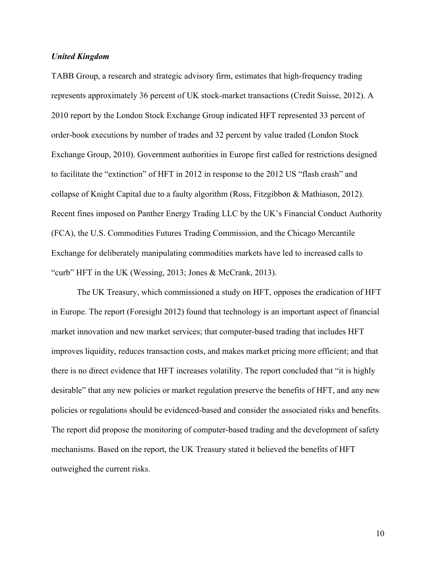#### *United Kingdom*

TABB Group, a research and strategic advisory firm, estimates that high-frequency trading represents approximately 36 percent of UK stock-market transactions (Credit Suisse, 2012). A 2010 report by the London Stock Exchange Group indicated HFT represented 33 percent of order-book executions by number of trades and 32 percent by value traded (London Stock Exchange Group, 2010). Government authorities in Europe first called for restrictions designed to facilitate the "extinction" of HFT in 2012 in response to the 2012 US "flash crash" and collapse of Knight Capital due to a faulty algorithm (Ross, Fitzgibbon & Mathiason, 2012). Recent fines imposed on Panther Energy Trading LLC by the UK's Financial Conduct Authority (FCA), the U.S. Commodities Futures Trading Commission, and the Chicago Mercantile Exchange for deliberately manipulating commodities markets have led to increased calls to "curb" HFT in the UK (Wessing, 2013; Jones & McCrank, 2013).

The UK Treasury, which commissioned a study on HFT, opposes the eradication of HFT in Europe. The report (Foresight 2012) found that technology is an important aspect of financial market innovation and new market services; that computer-based trading that includes HFT improves liquidity, reduces transaction costs, and makes market pricing more efficient; and that there is no direct evidence that HFT increases volatility. The report concluded that "it is highly desirable" that any new policies or market regulation preserve the benefits of HFT, and any new policies or regulations should be evidenced-based and consider the associated risks and benefits. The report did propose the monitoring of computer-based trading and the development of safety mechanisms. Based on the report, the UK Treasury stated it believed the benefits of HFT outweighed the current risks.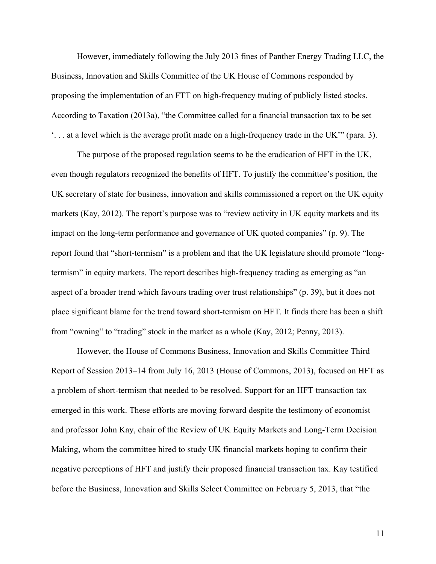However, immediately following the July 2013 fines of Panther Energy Trading LLC, the Business, Innovation and Skills Committee of the UK House of Commons responded by proposing the implementation of an FTT on high-frequency trading of publicly listed stocks. According to Taxation (2013a), "the Committee called for a financial transaction tax to be set '. . . at a level which is the average profit made on a high-frequency trade in the UK'" (para. 3).

The purpose of the proposed regulation seems to be the eradication of HFT in the UK, even though regulators recognized the benefits of HFT. To justify the committee's position, the UK secretary of state for business, innovation and skills commissioned a report on the UK equity markets (Kay, 2012). The report's purpose was to "review activity in UK equity markets and its impact on the long-term performance and governance of UK quoted companies" (p. 9). The report found that "short-termism" is a problem and that the UK legislature should promote "longtermism" in equity markets. The report describes high-frequency trading as emerging as "an aspect of a broader trend which favours trading over trust relationships" (p. 39), but it does not place significant blame for the trend toward short-termism on HFT. It finds there has been a shift from "owning" to "trading" stock in the market as a whole (Kay, 2012; Penny, 2013).

However, the House of Commons Business, Innovation and Skills Committee Third Report of Session 2013–14 from July 16, 2013 (House of Commons, 2013), focused on HFT as a problem of short-termism that needed to be resolved. Support for an HFT transaction tax emerged in this work. These efforts are moving forward despite the testimony of economist and professor John Kay, chair of the Review of UK Equity Markets and Long-Term Decision Making, whom the committee hired to study UK financial markets hoping to confirm their negative perceptions of HFT and justify their proposed financial transaction tax. Kay testified before the Business, Innovation and Skills Select Committee on February 5, 2013, that "the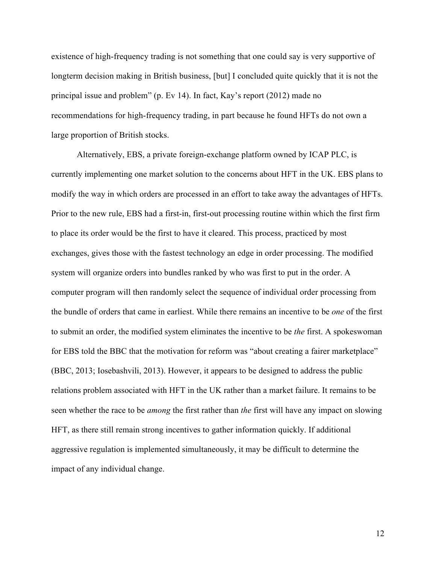existence of high-frequency trading is not something that one could say is very supportive of longterm decision making in British business, [but] I concluded quite quickly that it is not the principal issue and problem" (p. Ev 14). In fact, Kay's report (2012) made no recommendations for high-frequency trading, in part because he found HFTs do not own a large proportion of British stocks.

Alternatively, EBS, a private foreign-exchange platform owned by ICAP PLC, is currently implementing one market solution to the concerns about HFT in the UK. EBS plans to modify the way in which orders are processed in an effort to take away the advantages of HFTs. Prior to the new rule, EBS had a first-in, first-out processing routine within which the first firm to place its order would be the first to have it cleared. This process, practiced by most exchanges, gives those with the fastest technology an edge in order processing. The modified system will organize orders into bundles ranked by who was first to put in the order. A computer program will then randomly select the sequence of individual order processing from the bundle of orders that came in earliest. While there remains an incentive to be *one* of the first to submit an order, the modified system eliminates the incentive to be *the* first. A spokeswoman for EBS told the BBC that the motivation for reform was "about creating a fairer marketplace" (BBC, 2013; Iosebashvili, 2013). However, it appears to be designed to address the public relations problem associated with HFT in the UK rather than a market failure. It remains to be seen whether the race to be *among* the first rather than *the* first will have any impact on slowing HFT, as there still remain strong incentives to gather information quickly. If additional aggressive regulation is implemented simultaneously, it may be difficult to determine the impact of any individual change.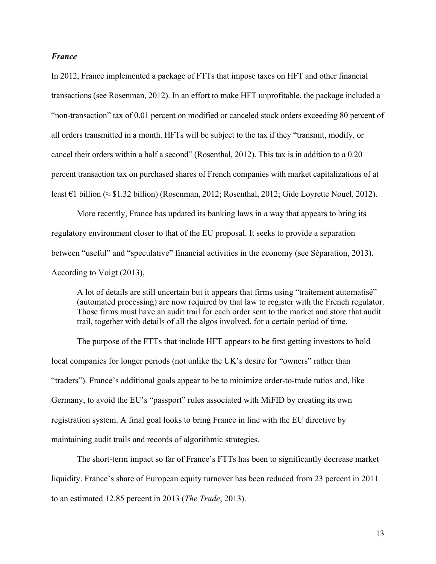#### *France*

In 2012, France implemented a package of FTTs that impose taxes on HFT and other financial transactions (see Rosenman, 2012). In an effort to make HFT unprofitable, the package included a "non-transaction" tax of 0.01 percent on modified or canceled stock orders exceeding 80 percent of all orders transmitted in a month. HFTs will be subject to the tax if they "transmit, modify, or cancel their orders within a half a second" (Rosenthal, 2012). This tax is in addition to a 0.20 percent transaction tax on purchased shares of French companies with market capitalizations of at least €1 billion (≈ \$1.32 billion) (Rosenman, 2012; Rosenthal, 2012; Gide Loyrette Nouel, 2012).

More recently, France has updated its banking laws in a way that appears to bring its regulatory environment closer to that of the EU proposal. It seeks to provide a separation between "useful" and "speculative" financial activities in the economy (see Séparation, 2013). According to Voigt (2013),

A lot of details are still uncertain but it appears that firms using "traitement automatisé" (automated processing) are now required by that law to register with the French regulator. Those firms must have an audit trail for each order sent to the market and store that audit trail, together with details of all the algos involved, for a certain period of time.

The purpose of the FTTs that include HFT appears to be first getting investors to hold local companies for longer periods (not unlike the UK's desire for "owners" rather than "traders"). France's additional goals appear to be to minimize order-to-trade ratios and, like Germany, to avoid the EU's "passport" rules associated with MiFID by creating its own registration system. A final goal looks to bring France in line with the EU directive by maintaining audit trails and records of algorithmic strategies.

The short-term impact so far of France's FTTs has been to significantly decrease market liquidity. France's share of European equity turnover has been reduced from 23 percent in 2011 to an estimated 12.85 percent in 2013 (*The Trade*, 2013).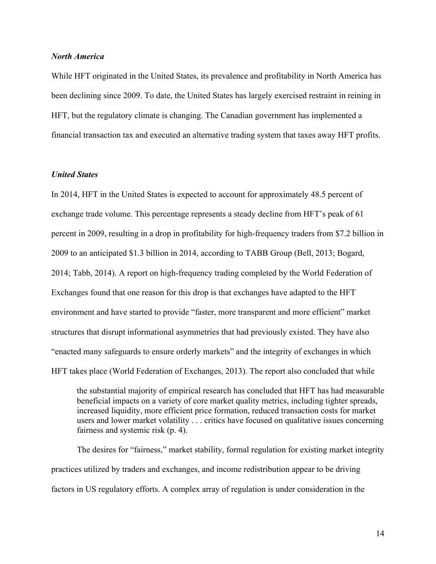#### *North America*

While HFT originated in the United States, its prevalence and profitability in North America has been declining since 2009. To date, the United States has largely exercised restraint in reining in HFT, but the regulatory climate is changing. The Canadian government has implemented a financial transaction tax and executed an alternative trading system that taxes away HFT profits.

# *United States*

In 2014, HFT in the United States is expected to account for approximately 48.5 percent of exchange trade volume. This percentage represents a steady decline from HFT's peak of 61 percent in 2009, resulting in a drop in profitability for high-frequency traders from \$7.2 billion in 2009 to an anticipated \$1.3 billion in 2014, according to TABB Group (Bell, 2013; Bogard, 2014; Tabb, 2014). A report on high-frequency trading completed by the World Federation of Exchanges found that one reason for this drop is that exchanges have adapted to the HFT environment and have started to provide "faster, more transparent and more efficient" market structures that disrupt informational asymmetries that had previously existed. They have also "enacted many safeguards to ensure orderly markets" and the integrity of exchanges in which HFT takes place (World Federation of Exchanges, 2013). The report also concluded that while

the substantial majority of empirical research has concluded that HFT has had measurable beneficial impacts on a variety of core market quality metrics, including tighter spreads, increased liquidity, more efficient price formation, reduced transaction costs for market users and lower market volatility . . . critics have focused on qualitative issues concerning fairness and systemic risk (p. 4).

The desires for "fairness," market stability, formal regulation for existing market integrity practices utilized by traders and exchanges, and income redistribution appear to be driving factors in US regulatory efforts. A complex array of regulation is under consideration in the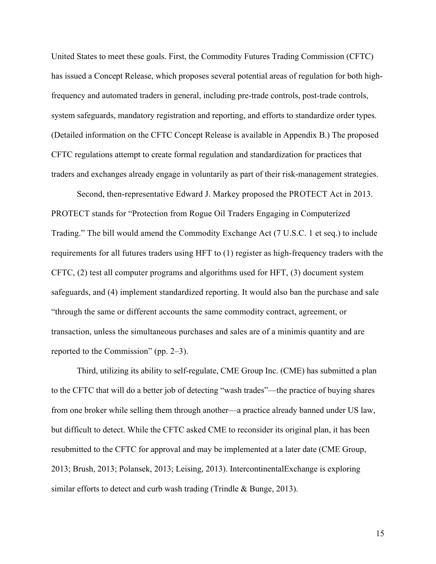United States to meet these goals. First, the Commodity Futures Trading Commission (CFTC) has issued a Concept Release, which proposes several potential areas of regulation for both highfrequency and automated traders in general, including pre-trade controls, post-trade controls, system safeguards, mandatory registration and reporting, and efforts to standardize order types. (Detailed information on the CFTC Concept Release is available in Appendix B.) The proposed CFTC regulations attempt to create formal regulation and standardization for practices that traders and exchanges already engage in voluntarily as part of their risk-management strategies.

Second, then-representative Edward J. Markey proposed the PROTECT Act in 2013. PROTECT stands for "Protection from Rogue Oil Traders Engaging in Computerized Trading." The bill would amend the Commodity Exchange Act (7 U.S.C. 1 et seq.) to include requirements for all futures traders using HFT to (1) register as high-frequency traders with the CFTC, (2) test all computer programs and algorithms used for HFT, (3) document system safeguards, and (4) implement standardized reporting. It would also ban the purchase and sale "through the same or different accounts the same commodity contract, agreement, or transaction, unless the simultaneous purchases and sales are of a minimis quantity and are reported to the Commission" (pp. 2–3).

Third, utilizing its ability to self-regulate, CME Group Inc. (CME) has submitted a plan to the CFTC that will do a better job of detecting "wash trades"—the practice of buying shares from one broker while selling them through another—a practice already banned under US law, but difficult to detect. While the CFTC asked CME to reconsider its original plan, it has been resubmitted to the CFTC for approval and may be implemented at a later date (CME Group, 2013; Brush, 2013; Polansek, 2013; Leising, 2013). IntercontinentalExchange is exploring similar efforts to detect and curb wash trading (Trindle & Bunge, 2013).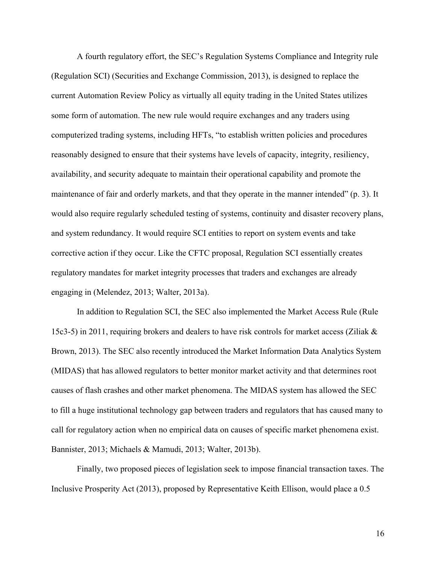A fourth regulatory effort, the SEC's Regulation Systems Compliance and Integrity rule (Regulation SCI) (Securities and Exchange Commission, 2013), is designed to replace the current Automation Review Policy as virtually all equity trading in the United States utilizes some form of automation. The new rule would require exchanges and any traders using computerized trading systems, including HFTs, "to establish written policies and procedures reasonably designed to ensure that their systems have levels of capacity, integrity, resiliency, availability, and security adequate to maintain their operational capability and promote the maintenance of fair and orderly markets, and that they operate in the manner intended" (p. 3). It would also require regularly scheduled testing of systems, continuity and disaster recovery plans, and system redundancy. It would require SCI entities to report on system events and take corrective action if they occur. Like the CFTC proposal, Regulation SCI essentially creates regulatory mandates for market integrity processes that traders and exchanges are already engaging in (Melendez, 2013; Walter, 2013a).

In addition to Regulation SCI, the SEC also implemented the Market Access Rule (Rule 15c3-5) in 2011, requiring brokers and dealers to have risk controls for market access (Ziliak & Brown, 2013). The SEC also recently introduced the Market Information Data Analytics System (MIDAS) that has allowed regulators to better monitor market activity and that determines root causes of flash crashes and other market phenomena. The MIDAS system has allowed the SEC to fill a huge institutional technology gap between traders and regulators that has caused many to call for regulatory action when no empirical data on causes of specific market phenomena exist. Bannister, 2013; Michaels & Mamudi, 2013; Walter, 2013b).

Finally, two proposed pieces of legislation seek to impose financial transaction taxes. The Inclusive Prosperity Act (2013), proposed by Representative Keith Ellison, would place a 0.5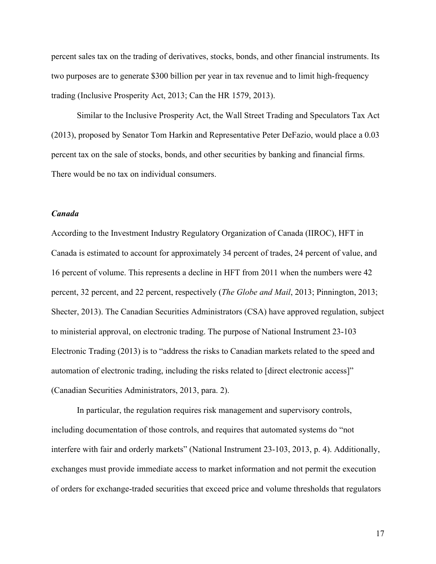percent sales tax on the trading of derivatives, stocks, bonds, and other financial instruments. Its two purposes are to generate \$300 billion per year in tax revenue and to limit high-frequency trading (Inclusive Prosperity Act, 2013; Can the HR 1579, 2013).

Similar to the Inclusive Prosperity Act, the Wall Street Trading and Speculators Tax Act (2013), proposed by Senator Tom Harkin and Representative Peter DeFazio, would place a 0.03 percent tax on the sale of stocks, bonds, and other securities by banking and financial firms. There would be no tax on individual consumers.

# *Canada*

According to the Investment Industry Regulatory Organization of Canada (IIROC), HFT in Canada is estimated to account for approximately 34 percent of trades, 24 percent of value, and 16 percent of volume. This represents a decline in HFT from 2011 when the numbers were 42 percent, 32 percent, and 22 percent, respectively (*The Globe and Mail*, 2013; Pinnington, 2013; Shecter, 2013). The Canadian Securities Administrators (CSA) have approved regulation, subject to ministerial approval, on electronic trading. The purpose of National Instrument 23-103 Electronic Trading (2013) is to "address the risks to Canadian markets related to the speed and automation of electronic trading, including the risks related to [direct electronic access]" (Canadian Securities Administrators, 2013, para. 2).

In particular, the regulation requires risk management and supervisory controls, including documentation of those controls, and requires that automated systems do "not interfere with fair and orderly markets" (National Instrument 23-103, 2013, p. 4). Additionally, exchanges must provide immediate access to market information and not permit the execution of orders for exchange-traded securities that exceed price and volume thresholds that regulators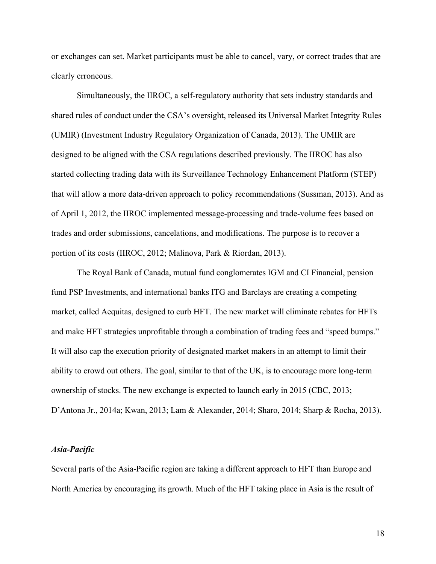or exchanges can set. Market participants must be able to cancel, vary, or correct trades that are clearly erroneous.

Simultaneously, the IIROC, a self-regulatory authority that sets industry standards and shared rules of conduct under the CSA's oversight, released its Universal Market Integrity Rules (UMIR) (Investment Industry Regulatory Organization of Canada, 2013). The UMIR are designed to be aligned with the CSA regulations described previously. The IIROC has also started collecting trading data with its Surveillance Technology Enhancement Platform (STEP) that will allow a more data-driven approach to policy recommendations (Sussman, 2013). And as of April 1, 2012, the IIROC implemented message-processing and trade-volume fees based on trades and order submissions, cancelations, and modifications. The purpose is to recover a portion of its costs (IIROC, 2012; Malinova, Park & Riordan, 2013).

The Royal Bank of Canada, mutual fund conglomerates IGM and CI Financial, pension fund PSP Investments, and international banks ITG and Barclays are creating a competing market, called Aequitas, designed to curb HFT. The new market will eliminate rebates for HFTs and make HFT strategies unprofitable through a combination of trading fees and "speed bumps." It will also cap the execution priority of designated market makers in an attempt to limit their ability to crowd out others. The goal, similar to that of the UK, is to encourage more long-term ownership of stocks. The new exchange is expected to launch early in 2015 (CBC, 2013; D'Antona Jr., 2014a; Kwan, 2013; Lam & Alexander, 2014; Sharo, 2014; Sharp & Rocha, 2013).

#### *Asia-Pacific*

Several parts of the Asia-Pacific region are taking a different approach to HFT than Europe and North America by encouraging its growth. Much of the HFT taking place in Asia is the result of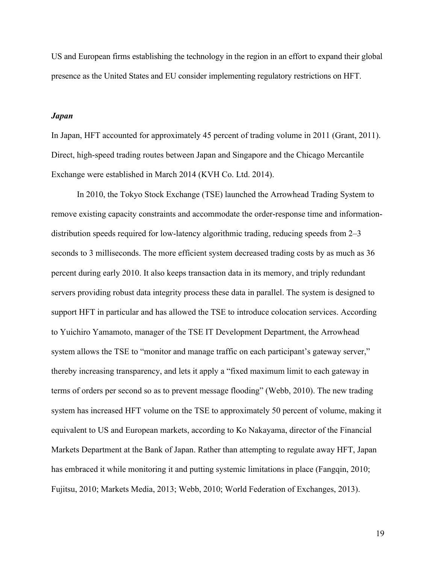US and European firms establishing the technology in the region in an effort to expand their global presence as the United States and EU consider implementing regulatory restrictions on HFT.

#### *Japan*

In Japan, HFT accounted for approximately 45 percent of trading volume in 2011 (Grant, 2011). Direct, high-speed trading routes between Japan and Singapore and the Chicago Mercantile Exchange were established in March 2014 (KVH Co. Ltd. 2014).

In 2010, the Tokyo Stock Exchange (TSE) launched the Arrowhead Trading System to remove existing capacity constraints and accommodate the order-response time and informationdistribution speeds required for low-latency algorithmic trading, reducing speeds from 2–3 seconds to 3 milliseconds. The more efficient system decreased trading costs by as much as 36 percent during early 2010. It also keeps transaction data in its memory, and triply redundant servers providing robust data integrity process these data in parallel. The system is designed to support HFT in particular and has allowed the TSE to introduce colocation services. According to Yuichiro Yamamoto, manager of the TSE IT Development Department, the Arrowhead system allows the TSE to "monitor and manage traffic on each participant's gateway server," thereby increasing transparency, and lets it apply a "fixed maximum limit to each gateway in terms of orders per second so as to prevent message flooding" (Webb, 2010). The new trading system has increased HFT volume on the TSE to approximately 50 percent of volume, making it equivalent to US and European markets, according to Ko Nakayama, director of the Financial Markets Department at the Bank of Japan. Rather than attempting to regulate away HFT, Japan has embraced it while monitoring it and putting systemic limitations in place (Fangqin, 2010; Fujitsu, 2010; Markets Media, 2013; Webb, 2010; World Federation of Exchanges, 2013).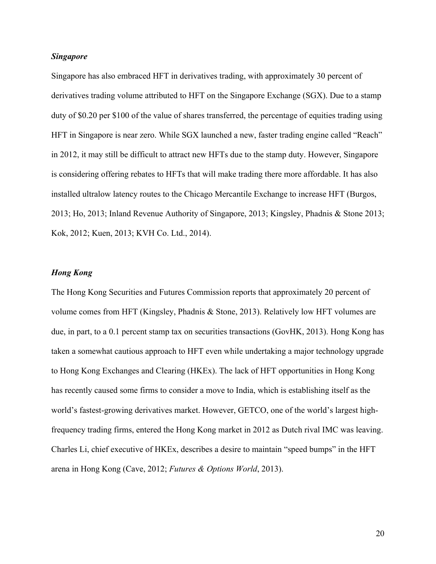#### *Singapore*

Singapore has also embraced HFT in derivatives trading, with approximately 30 percent of derivatives trading volume attributed to HFT on the Singapore Exchange (SGX). Due to a stamp duty of \$0.20 per \$100 of the value of shares transferred, the percentage of equities trading using HFT in Singapore is near zero. While SGX launched a new, faster trading engine called "Reach" in 2012, it may still be difficult to attract new HFTs due to the stamp duty. However, Singapore is considering offering rebates to HFTs that will make trading there more affordable. It has also installed ultralow latency routes to the Chicago Mercantile Exchange to increase HFT (Burgos, 2013; Ho, 2013; Inland Revenue Authority of Singapore, 2013; Kingsley, Phadnis & Stone 2013; Kok, 2012; Kuen, 2013; KVH Co. Ltd., 2014).

# *Hong Kong*

The Hong Kong Securities and Futures Commission reports that approximately 20 percent of volume comes from HFT (Kingsley, Phadnis & Stone, 2013). Relatively low HFT volumes are due, in part, to a 0.1 percent stamp tax on securities transactions (GovHK, 2013). Hong Kong has taken a somewhat cautious approach to HFT even while undertaking a major technology upgrade to Hong Kong Exchanges and Clearing (HKEx). The lack of HFT opportunities in Hong Kong has recently caused some firms to consider a move to India, which is establishing itself as the world's fastest-growing derivatives market. However, GETCO, one of the world's largest highfrequency trading firms, entered the Hong Kong market in 2012 as Dutch rival IMC was leaving. Charles Li, chief executive of HKEx, describes a desire to maintain "speed bumps" in the HFT arena in Hong Kong (Cave, 2012; *Futures & Options World*, 2013).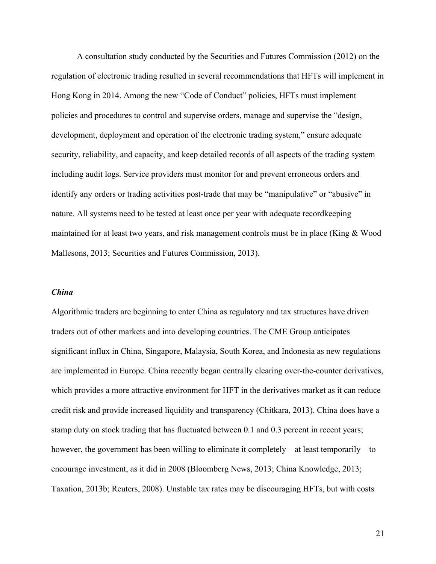A consultation study conducted by the Securities and Futures Commission (2012) on the regulation of electronic trading resulted in several recommendations that HFTs will implement in Hong Kong in 2014. Among the new "Code of Conduct" policies, HFTs must implement policies and procedures to control and supervise orders, manage and supervise the "design, development, deployment and operation of the electronic trading system," ensure adequate security, reliability, and capacity, and keep detailed records of all aspects of the trading system including audit logs. Service providers must monitor for and prevent erroneous orders and identify any orders or trading activities post-trade that may be "manipulative" or "abusive" in nature. All systems need to be tested at least once per year with adequate recordkeeping maintained for at least two years, and risk management controls must be in place (King & Wood Mallesons, 2013; Securities and Futures Commission, 2013).

#### *China*

Algorithmic traders are beginning to enter China as regulatory and tax structures have driven traders out of other markets and into developing countries. The CME Group anticipates significant influx in China, Singapore, Malaysia, South Korea, and Indonesia as new regulations are implemented in Europe. China recently began centrally clearing over-the-counter derivatives, which provides a more attractive environment for HFT in the derivatives market as it can reduce credit risk and provide increased liquidity and transparency (Chitkara, 2013). China does have a stamp duty on stock trading that has fluctuated between 0.1 and 0.3 percent in recent years; however, the government has been willing to eliminate it completely—at least temporarily—to encourage investment, as it did in 2008 (Bloomberg News, 2013; China Knowledge, 2013; Taxation, 2013b; Reuters, 2008). Unstable tax rates may be discouraging HFTs, but with costs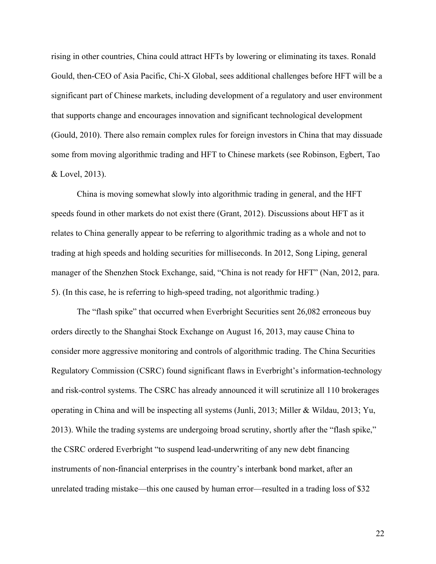rising in other countries, China could attract HFTs by lowering or eliminating its taxes. Ronald Gould, then-CEO of Asia Pacific, Chi-X Global, sees additional challenges before HFT will be a significant part of Chinese markets, including development of a regulatory and user environment that supports change and encourages innovation and significant technological development (Gould, 2010). There also remain complex rules for foreign investors in China that may dissuade some from moving algorithmic trading and HFT to Chinese markets (see Robinson, Egbert, Tao & Lovel, 2013).

China is moving somewhat slowly into algorithmic trading in general, and the HFT speeds found in other markets do not exist there (Grant, 2012). Discussions about HFT as it relates to China generally appear to be referring to algorithmic trading as a whole and not to trading at high speeds and holding securities for milliseconds. In 2012, Song Liping, general manager of the Shenzhen Stock Exchange, said, "China is not ready for HFT" (Nan, 2012, para. 5). (In this case, he is referring to high-speed trading, not algorithmic trading.)

The "flash spike" that occurred when Everbright Securities sent 26,082 erroneous buy orders directly to the Shanghai Stock Exchange on August 16, 2013, may cause China to consider more aggressive monitoring and controls of algorithmic trading. The China Securities Regulatory Commission (CSRC) found significant flaws in Everbright's information-technology and risk-control systems. The CSRC has already announced it will scrutinize all 110 brokerages operating in China and will be inspecting all systems (Junli, 2013; Miller & Wildau, 2013; Yu, 2013). While the trading systems are undergoing broad scrutiny, shortly after the "flash spike," the CSRC ordered Everbright "to suspend lead-underwriting of any new debt financing instruments of non-financial enterprises in the country's interbank bond market, after an unrelated trading mistake—this one caused by human error—resulted in a trading loss of \$32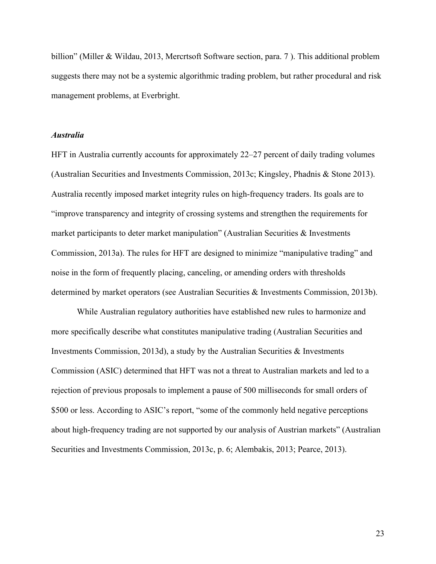billion" (Miller & Wildau, 2013, Mercrtsoft Software section, para. 7 ). This additional problem suggests there may not be a systemic algorithmic trading problem, but rather procedural and risk management problems, at Everbright.

#### *Australia*

HFT in Australia currently accounts for approximately 22–27 percent of daily trading volumes (Australian Securities and Investments Commission, 2013c; Kingsley, Phadnis & Stone 2013). Australia recently imposed market integrity rules on high-frequency traders. Its goals are to "improve transparency and integrity of crossing systems and strengthen the requirements for market participants to deter market manipulation" (Australian Securities & Investments Commission, 2013a). The rules for HFT are designed to minimize "manipulative trading" and noise in the form of frequently placing, canceling, or amending orders with thresholds determined by market operators (see Australian Securities & Investments Commission, 2013b).

While Australian regulatory authorities have established new rules to harmonize and more specifically describe what constitutes manipulative trading (Australian Securities and Investments Commission, 2013d), a study by the Australian Securities & Investments Commission (ASIC) determined that HFT was not a threat to Australian markets and led to a rejection of previous proposals to implement a pause of 500 milliseconds for small orders of \$500 or less. According to ASIC's report, "some of the commonly held negative perceptions about high-frequency trading are not supported by our analysis of Austrian markets" (Australian Securities and Investments Commission, 2013c, p. 6; Alembakis, 2013; Pearce, 2013).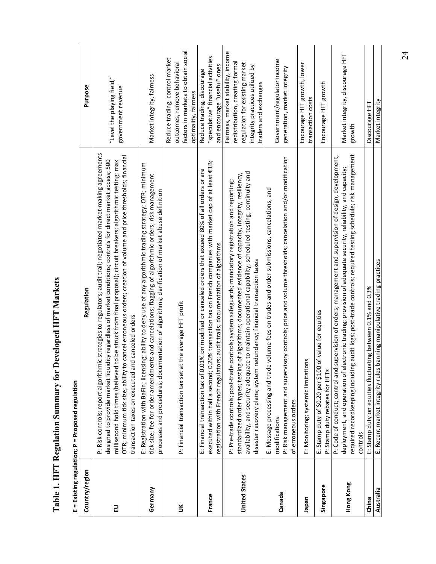|                      | E = Existing regulation; P = Proposed regulation                                                                                                                                                                                                                                                                                                                                                                                                                                                                         |                                                                                                                                                                     |
|----------------------|--------------------------------------------------------------------------------------------------------------------------------------------------------------------------------------------------------------------------------------------------------------------------------------------------------------------------------------------------------------------------------------------------------------------------------------------------------------------------------------------------------------------------|---------------------------------------------------------------------------------------------------------------------------------------------------------------------|
| Country/region       | Regulation                                                                                                                                                                                                                                                                                                                                                                                                                                                                                                               | Purpose                                                                                                                                                             |
| 긊                    | P: Risk controls; report algorithmic strategies to regulators; audit trail; negotiated market-making agreements<br>OTR; minimum tick size; ability to cancel erroneous orders; creation of volume and price thresholds; financial<br>designed to provide market liquidity regardless of market conditions; controls for direct market access; 500<br>millisecond hold times (believed to be struck from final proposal); circuit breakers; algorithmic testing; max<br>transaction taxes on executed and canceled orders | "Level the playing field,"<br>government revenue                                                                                                                    |
| Germany              | E: Registration with BaFin; licensing; ability to deny use of any algorithmic trading strategy; OTR; minimum<br>tick size; fee for order amendments and cancelations; flagging of algorithmic orders; risk management<br>processes and procedures; documentation of algorithms; clarification of market abuse definition                                                                                                                                                                                                 | Market integrity, fairness                                                                                                                                          |
| š                    | P: Financial transaction tax set at the average HFT profit                                                                                                                                                                                                                                                                                                                                                                                                                                                               | factors in markets to obtain social<br>Reduce trading, control market<br>outcomes, remove behavioral<br>optimality, fairness                                        |
| France               | executed within half a second; 0.20% transaction tax on French companies with market cap of at least €1B;<br>E: Financial transaction tax of 0.01% on modified or canceled orders that exceed 80% of all orders or are<br>registration with French regulators; audit trails; documentation of algorithms                                                                                                                                                                                                                 | "speculative" financial activities<br>and encourage "useful" ones<br>Reduce trading, discourage                                                                     |
| <b>United States</b> | te to maintain operational capability; scheduled testing; continuity and<br>standardized order types; testing of algorithms; documented evidence of capacity, integrity, resiliency,<br>controls; system safeguards; mandatory registration and reporting;<br>edundancy; financial transaction taxes<br>P: Pre-trade controls; post-trade<br>availability, and security adequat<br>disaster recovery plans; system r                                                                                                     | Fairness, market stability, income<br>redistribution, creating formal<br>regulation for existing market<br>integrity practices utilized by<br>traders and exchanges |
| Canada               | P: Risk management and supervisory controls; price and volume thresholds; cancelation and/or modification<br>E: Message processing and trade volume fees on trades and order submissions, cancelations, and<br>of erroneous orders<br>modifications                                                                                                                                                                                                                                                                      | Government/regulator income<br>generation, market integrity                                                                                                         |
| <b>neder</b>         | E: Monitoring; systemic limitations                                                                                                                                                                                                                                                                                                                                                                                                                                                                                      | Encourage HFT growth, lower<br>transaction costs                                                                                                                    |
| Singapore            | of value for equities<br>E: Stamp duty of \$0.20 per \$100<br>P: Stamp duty rebates for HFTs                                                                                                                                                                                                                                                                                                                                                                                                                             | Encourage HFT growth                                                                                                                                                |
| Hong Kong            | required recordkeeping including audit logs; post-trade controls; required testing schedule; risk management<br>supervision of orders; management and supervision of design, development,<br>deployment, and operation of electronic trading; provision of adequate security, reliability, and capacity;<br>P: Code of conduct; control and<br>controls                                                                                                                                                                  | Market integrity, discourage HFT<br>growth                                                                                                                          |
| China                | E: Stamp duty on equities fluctuating between 0.1% and 0.3%                                                                                                                                                                                                                                                                                                                                                                                                                                                              | Discourage HFT                                                                                                                                                      |
| Australia            | banning manipulative trading practices<br>E: Recent market integrity rules                                                                                                                                                                                                                                                                                                                                                                                                                                               | Market integrity                                                                                                                                                    |

Table 1. HFT Regulation Summary for Developed HFT Markets **Table 1. HFT Regulation Summary for Developed HFT Markets**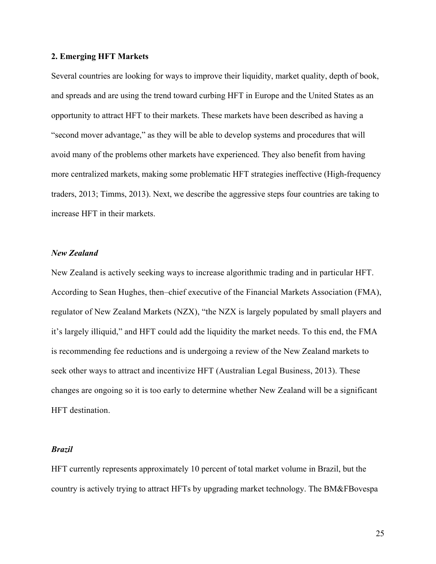#### **2. Emerging HFT Markets**

Several countries are looking for ways to improve their liquidity, market quality, depth of book, and spreads and are using the trend toward curbing HFT in Europe and the United States as an opportunity to attract HFT to their markets. These markets have been described as having a "second mover advantage," as they will be able to develop systems and procedures that will avoid many of the problems other markets have experienced. They also benefit from having more centralized markets, making some problematic HFT strategies ineffective (High-frequency traders, 2013; Timms, 2013). Next, we describe the aggressive steps four countries are taking to increase HFT in their markets.

#### *New Zealand*

New Zealand is actively seeking ways to increase algorithmic trading and in particular HFT. According to Sean Hughes, then–chief executive of the Financial Markets Association (FMA), regulator of New Zealand Markets (NZX), "the NZX is largely populated by small players and it's largely illiquid," and HFT could add the liquidity the market needs. To this end, the FMA is recommending fee reductions and is undergoing a review of the New Zealand markets to seek other ways to attract and incentivize HFT (Australian Legal Business, 2013). These changes are ongoing so it is too early to determine whether New Zealand will be a significant HFT destination.

#### *Brazil*

HFT currently represents approximately 10 percent of total market volume in Brazil, but the country is actively trying to attract HFTs by upgrading market technology. The BM&FBovespa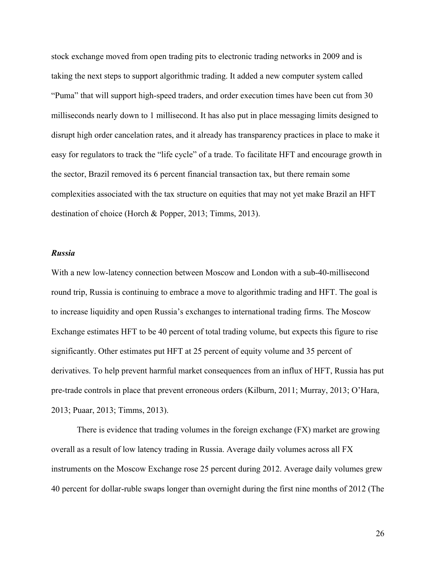stock exchange moved from open trading pits to electronic trading networks in 2009 and is taking the next steps to support algorithmic trading. It added a new computer system called "Puma" that will support high-speed traders, and order execution times have been cut from 30 milliseconds nearly down to 1 millisecond. It has also put in place messaging limits designed to disrupt high order cancelation rates, and it already has transparency practices in place to make it easy for regulators to track the "life cycle" of a trade. To facilitate HFT and encourage growth in the sector, Brazil removed its 6 percent financial transaction tax, but there remain some complexities associated with the tax structure on equities that may not yet make Brazil an HFT destination of choice (Horch & Popper, 2013; Timms, 2013).

#### *Russia*

With a new low-latency connection between Moscow and London with a sub-40-millisecond round trip, Russia is continuing to embrace a move to algorithmic trading and HFT. The goal is to increase liquidity and open Russia's exchanges to international trading firms. The Moscow Exchange estimates HFT to be 40 percent of total trading volume, but expects this figure to rise significantly. Other estimates put HFT at 25 percent of equity volume and 35 percent of derivatives. To help prevent harmful market consequences from an influx of HFT, Russia has put pre-trade controls in place that prevent erroneous orders (Kilburn, 2011; Murray, 2013; O'Hara, 2013; Puaar, 2013; Timms, 2013).

There is evidence that trading volumes in the foreign exchange (FX) market are growing overall as a result of low latency trading in Russia. Average daily volumes across all FX instruments on the Moscow Exchange rose 25 percent during 2012. Average daily volumes grew 40 percent for dollar-ruble swaps longer than overnight during the first nine months of 2012 (The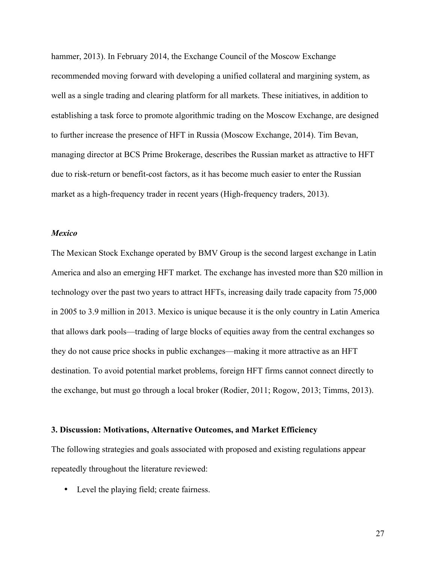hammer, 2013). In February 2014, the Exchange Council of the Moscow Exchange recommended moving forward with developing a unified collateral and margining system, as well as a single trading and clearing platform for all markets. These initiatives, in addition to establishing a task force to promote algorithmic trading on the Moscow Exchange, are designed to further increase the presence of HFT in Russia (Moscow Exchange, 2014). Tim Bevan, managing director at BCS Prime Brokerage, describes the Russian market as attractive to HFT due to risk-return or benefit-cost factors, as it has become much easier to enter the Russian market as a high-frequency trader in recent years (High-frequency traders, 2013).

#### *Mexico*

The Mexican Stock Exchange operated by BMV Group is the second largest exchange in Latin America and also an emerging HFT market. The exchange has invested more than \$20 million in technology over the past two years to attract HFTs, increasing daily trade capacity from 75,000 in 2005 to 3.9 million in 2013. Mexico is unique because it is the only country in Latin America that allows dark pools—trading of large blocks of equities away from the central exchanges so they do not cause price shocks in public exchanges—making it more attractive as an HFT destination. To avoid potential market problems, foreign HFT firms cannot connect directly to the exchange, but must go through a local broker (Rodier, 2011; Rogow, 2013; Timms, 2013).

#### **3. Discussion: Motivations, Alternative Outcomes, and Market Efficiency**

The following strategies and goals associated with proposed and existing regulations appear repeatedly throughout the literature reviewed:

• Level the playing field; create fairness.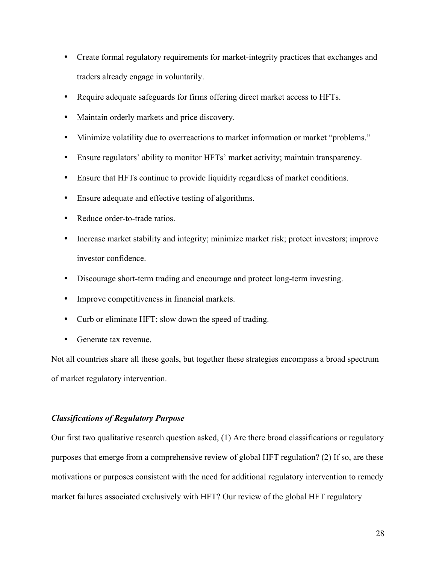- Create formal regulatory requirements for market-integrity practices that exchanges and traders already engage in voluntarily.
- Require adequate safeguards for firms offering direct market access to HFTs.
- Maintain orderly markets and price discovery.
- Minimize volatility due to overreactions to market information or market "problems."
- Ensure regulators' ability to monitor HFTs' market activity; maintain transparency.
- Ensure that HFTs continue to provide liquidity regardless of market conditions.
- Ensure adequate and effective testing of algorithms.
- Reduce order-to-trade ratios.
- Increase market stability and integrity; minimize market risk; protect investors; improve investor confidence.
- Discourage short-term trading and encourage and protect long-term investing.
- Improve competitiveness in financial markets.
- Curb or eliminate HFT; slow down the speed of trading.
- Generate tax revenue.

Not all countries share all these goals, but together these strategies encompass a broad spectrum of market regulatory intervention.

#### *Classifications of Regulatory Purpose*

Our first two qualitative research question asked, (1) Are there broad classifications or regulatory purposes that emerge from a comprehensive review of global HFT regulation? (2) If so, are these motivations or purposes consistent with the need for additional regulatory intervention to remedy market failures associated exclusively with HFT? Our review of the global HFT regulatory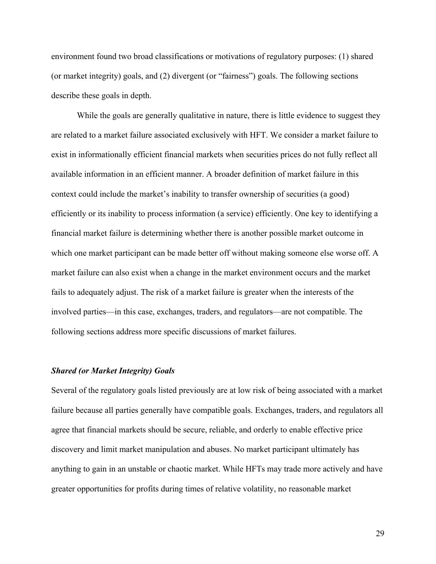environment found two broad classifications or motivations of regulatory purposes: (1) shared (or market integrity) goals, and (2) divergent (or "fairness") goals. The following sections describe these goals in depth.

While the goals are generally qualitative in nature, there is little evidence to suggest they are related to a market failure associated exclusively with HFT. We consider a market failure to exist in informationally efficient financial markets when securities prices do not fully reflect all available information in an efficient manner. A broader definition of market failure in this context could include the market's inability to transfer ownership of securities (a good) efficiently or its inability to process information (a service) efficiently. One key to identifying a financial market failure is determining whether there is another possible market outcome in which one market participant can be made better off without making someone else worse off. A market failure can also exist when a change in the market environment occurs and the market fails to adequately adjust. The risk of a market failure is greater when the interests of the involved parties—in this case, exchanges, traders, and regulators—are not compatible. The following sections address more specific discussions of market failures.

#### *Shared (or Market Integrity) Goals*

Several of the regulatory goals listed previously are at low risk of being associated with a market failure because all parties generally have compatible goals. Exchanges, traders, and regulators all agree that financial markets should be secure, reliable, and orderly to enable effective price discovery and limit market manipulation and abuses. No market participant ultimately has anything to gain in an unstable or chaotic market. While HFTs may trade more actively and have greater opportunities for profits during times of relative volatility, no reasonable market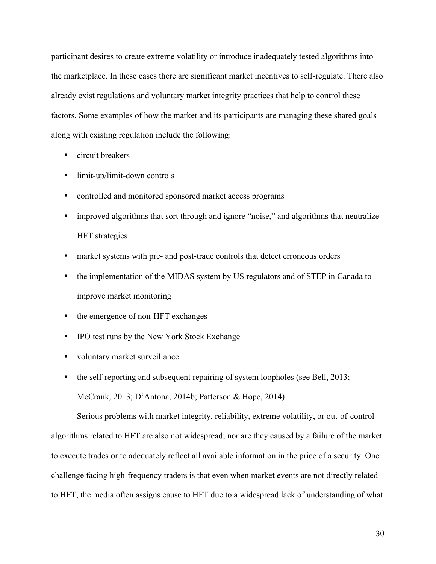participant desires to create extreme volatility or introduce inadequately tested algorithms into the marketplace. In these cases there are significant market incentives to self-regulate. There also already exist regulations and voluntary market integrity practices that help to control these factors. Some examples of how the market and its participants are managing these shared goals along with existing regulation include the following:

- circuit breakers
- limit-up/limit-down controls
- controlled and monitored sponsored market access programs
- improved algorithms that sort through and ignore "noise," and algorithms that neutralize HFT strategies
- market systems with pre- and post-trade controls that detect erroneous orders
- the implementation of the MIDAS system by US regulators and of STEP in Canada to improve market monitoring
- the emergence of non-HFT exchanges
- IPO test runs by the New York Stock Exchange
- voluntary market surveillance
- the self-reporting and subsequent repairing of system loopholes (see Bell, 2013; McCrank, 2013; D'Antona, 2014b; Patterson & Hope, 2014)

Serious problems with market integrity, reliability, extreme volatility, or out-of-control algorithms related to HFT are also not widespread; nor are they caused by a failure of the market to execute trades or to adequately reflect all available information in the price of a security. One challenge facing high-frequency traders is that even when market events are not directly related to HFT, the media often assigns cause to HFT due to a widespread lack of understanding of what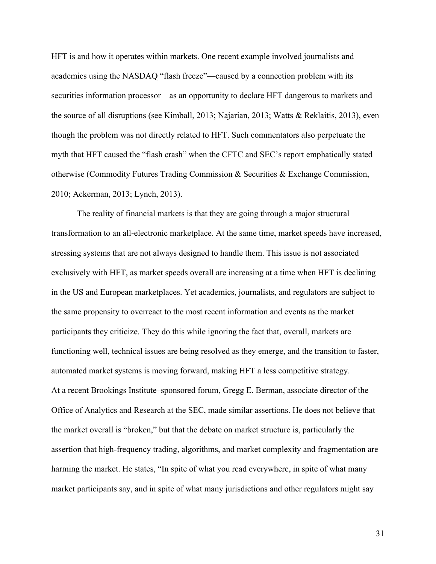HFT is and how it operates within markets. One recent example involved journalists and academics using the NASDAQ "flash freeze"—caused by a connection problem with its securities information processor—as an opportunity to declare HFT dangerous to markets and the source of all disruptions (see Kimball, 2013; Najarian, 2013; Watts & Reklaitis, 2013), even though the problem was not directly related to HFT. Such commentators also perpetuate the myth that HFT caused the "flash crash" when the CFTC and SEC's report emphatically stated otherwise (Commodity Futures Trading Commission & Securities & Exchange Commission, 2010; Ackerman, 2013; Lynch, 2013).

The reality of financial markets is that they are going through a major structural transformation to an all-electronic marketplace. At the same time, market speeds have increased, stressing systems that are not always designed to handle them. This issue is not associated exclusively with HFT, as market speeds overall are increasing at a time when HFT is declining in the US and European marketplaces. Yet academics, journalists, and regulators are subject to the same propensity to overreact to the most recent information and events as the market participants they criticize. They do this while ignoring the fact that, overall, markets are functioning well, technical issues are being resolved as they emerge, and the transition to faster, automated market systems is moving forward, making HFT a less competitive strategy. At a recent Brookings Institute–sponsored forum, Gregg E. Berman, associate director of the Office of Analytics and Research at the SEC, made similar assertions. He does not believe that the market overall is "broken," but that the debate on market structure is, particularly the assertion that high-frequency trading, algorithms, and market complexity and fragmentation are harming the market. He states, "In spite of what you read everywhere, in spite of what many market participants say, and in spite of what many jurisdictions and other regulators might say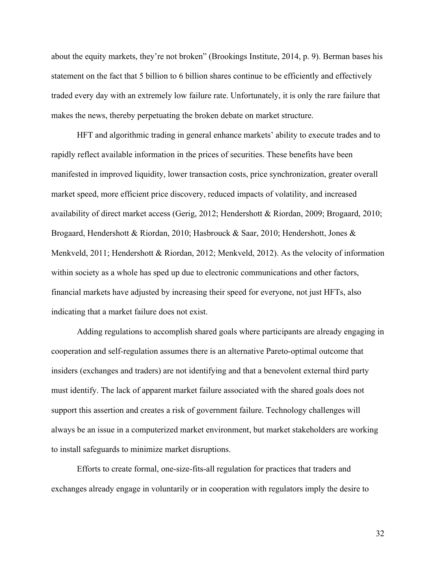about the equity markets, they're not broken" (Brookings Institute, 2014, p. 9). Berman bases his statement on the fact that 5 billion to 6 billion shares continue to be efficiently and effectively traded every day with an extremely low failure rate. Unfortunately, it is only the rare failure that makes the news, thereby perpetuating the broken debate on market structure.

HFT and algorithmic trading in general enhance markets' ability to execute trades and to rapidly reflect available information in the prices of securities. These benefits have been manifested in improved liquidity, lower transaction costs, price synchronization, greater overall market speed, more efficient price discovery, reduced impacts of volatility, and increased availability of direct market access (Gerig, 2012; Hendershott & Riordan, 2009; Brogaard, 2010; Brogaard, Hendershott & Riordan, 2010; Hasbrouck & Saar, 2010; Hendershott, Jones & Menkveld, 2011; Hendershott & Riordan, 2012; Menkveld, 2012). As the velocity of information within society as a whole has sped up due to electronic communications and other factors, financial markets have adjusted by increasing their speed for everyone, not just HFTs, also indicating that a market failure does not exist.

Adding regulations to accomplish shared goals where participants are already engaging in cooperation and self-regulation assumes there is an alternative Pareto-optimal outcome that insiders (exchanges and traders) are not identifying and that a benevolent external third party must identify. The lack of apparent market failure associated with the shared goals does not support this assertion and creates a risk of government failure. Technology challenges will always be an issue in a computerized market environment, but market stakeholders are working to install safeguards to minimize market disruptions.

Efforts to create formal, one-size-fits-all regulation for practices that traders and exchanges already engage in voluntarily or in cooperation with regulators imply the desire to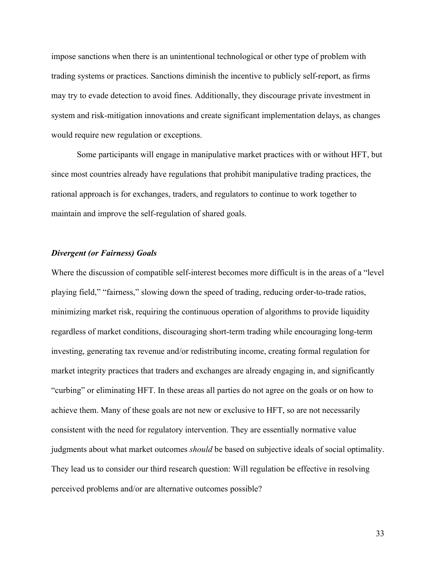impose sanctions when there is an unintentional technological or other type of problem with trading systems or practices. Sanctions diminish the incentive to publicly self-report, as firms may try to evade detection to avoid fines. Additionally, they discourage private investment in system and risk-mitigation innovations and create significant implementation delays, as changes would require new regulation or exceptions.

Some participants will engage in manipulative market practices with or without HFT, but since most countries already have regulations that prohibit manipulative trading practices, the rational approach is for exchanges, traders, and regulators to continue to work together to maintain and improve the self-regulation of shared goals.

#### *Divergent (or Fairness) Goals*

Where the discussion of compatible self-interest becomes more difficult is in the areas of a "level playing field," "fairness," slowing down the speed of trading, reducing order-to-trade ratios, minimizing market risk, requiring the continuous operation of algorithms to provide liquidity regardless of market conditions, discouraging short-term trading while encouraging long-term investing, generating tax revenue and/or redistributing income, creating formal regulation for market integrity practices that traders and exchanges are already engaging in, and significantly "curbing" or eliminating HFT. In these areas all parties do not agree on the goals or on how to achieve them. Many of these goals are not new or exclusive to HFT, so are not necessarily consistent with the need for regulatory intervention. They are essentially normative value judgments about what market outcomes *should* be based on subjective ideals of social optimality. They lead us to consider our third research question: Will regulation be effective in resolving perceived problems and/or are alternative outcomes possible?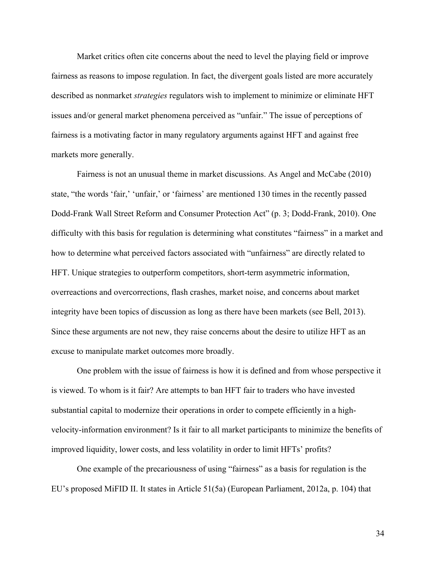Market critics often cite concerns about the need to level the playing field or improve fairness as reasons to impose regulation. In fact, the divergent goals listed are more accurately described as nonmarket *strategies* regulators wish to implement to minimize or eliminate HFT issues and/or general market phenomena perceived as "unfair." The issue of perceptions of fairness is a motivating factor in many regulatory arguments against HFT and against free markets more generally.

Fairness is not an unusual theme in market discussions. As Angel and McCabe (2010) state, "the words 'fair,' 'unfair,' or 'fairness' are mentioned 130 times in the recently passed Dodd-Frank Wall Street Reform and Consumer Protection Act" (p. 3; Dodd-Frank, 2010). One difficulty with this basis for regulation is determining what constitutes "fairness" in a market and how to determine what perceived factors associated with "unfairness" are directly related to HFT. Unique strategies to outperform competitors, short-term asymmetric information, overreactions and overcorrections, flash crashes, market noise, and concerns about market integrity have been topics of discussion as long as there have been markets (see Bell, 2013). Since these arguments are not new, they raise concerns about the desire to utilize HFT as an excuse to manipulate market outcomes more broadly.

One problem with the issue of fairness is how it is defined and from whose perspective it is viewed. To whom is it fair? Are attempts to ban HFT fair to traders who have invested substantial capital to modernize their operations in order to compete efficiently in a highvelocity-information environment? Is it fair to all market participants to minimize the benefits of improved liquidity, lower costs, and less volatility in order to limit HFTs' profits?

One example of the precariousness of using "fairness" as a basis for regulation is the EU's proposed MiFID II. It states in Article 51(5a) (European Parliament, 2012a, p. 104) that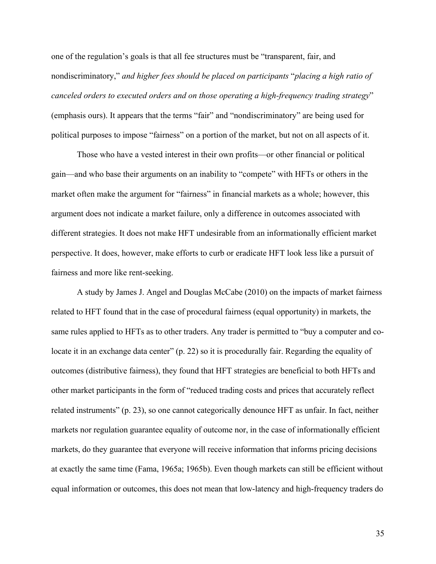one of the regulation's goals is that all fee structures must be "transparent, fair, and nondiscriminatory," *and higher fees should be placed on participants* "*placing a high ratio of canceled orders to executed orders and on those operating a high-frequency trading strategy*" (emphasis ours). It appears that the terms "fair" and "nondiscriminatory" are being used for political purposes to impose "fairness" on a portion of the market, but not on all aspects of it.

Those who have a vested interest in their own profits—or other financial or political gain—and who base their arguments on an inability to "compete" with HFTs or others in the market often make the argument for "fairness" in financial markets as a whole; however, this argument does not indicate a market failure, only a difference in outcomes associated with different strategies. It does not make HFT undesirable from an informationally efficient market perspective. It does, however, make efforts to curb or eradicate HFT look less like a pursuit of fairness and more like rent-seeking.

A study by James J. Angel and Douglas McCabe (2010) on the impacts of market fairness related to HFT found that in the case of procedural fairness (equal opportunity) in markets, the same rules applied to HFTs as to other traders. Any trader is permitted to "buy a computer and colocate it in an exchange data center" (p. 22) so it is procedurally fair. Regarding the equality of outcomes (distributive fairness), they found that HFT strategies are beneficial to both HFTs and other market participants in the form of "reduced trading costs and prices that accurately reflect related instruments" (p. 23), so one cannot categorically denounce HFT as unfair. In fact, neither markets nor regulation guarantee equality of outcome nor, in the case of informationally efficient markets, do they guarantee that everyone will receive information that informs pricing decisions at exactly the same time (Fama, 1965a; 1965b). Even though markets can still be efficient without equal information or outcomes, this does not mean that low-latency and high-frequency traders do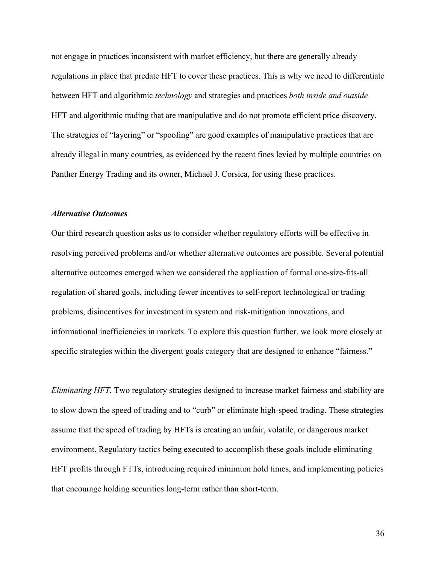not engage in practices inconsistent with market efficiency, but there are generally already regulations in place that predate HFT to cover these practices. This is why we need to differentiate between HFT and algorithmic *technology* and strategies and practices *both inside and outside* HFT and algorithmic trading that are manipulative and do not promote efficient price discovery. The strategies of "layering" or "spoofing" are good examples of manipulative practices that are already illegal in many countries, as evidenced by the recent fines levied by multiple countries on Panther Energy Trading and its owner, Michael J. Corsica, for using these practices.

#### *Alternative Outcomes*

Our third research question asks us to consider whether regulatory efforts will be effective in resolving perceived problems and/or whether alternative outcomes are possible. Several potential alternative outcomes emerged when we considered the application of formal one-size-fits-all regulation of shared goals, including fewer incentives to self-report technological or trading problems, disincentives for investment in system and risk-mitigation innovations, and informational inefficiencies in markets. To explore this question further, we look more closely at specific strategies within the divergent goals category that are designed to enhance "fairness."

*Eliminating HFT.* Two regulatory strategies designed to increase market fairness and stability are to slow down the speed of trading and to "curb" or eliminate high-speed trading. These strategies assume that the speed of trading by HFTs is creating an unfair, volatile, or dangerous market environment. Regulatory tactics being executed to accomplish these goals include eliminating HFT profits through FTTs, introducing required minimum hold times, and implementing policies that encourage holding securities long-term rather than short-term.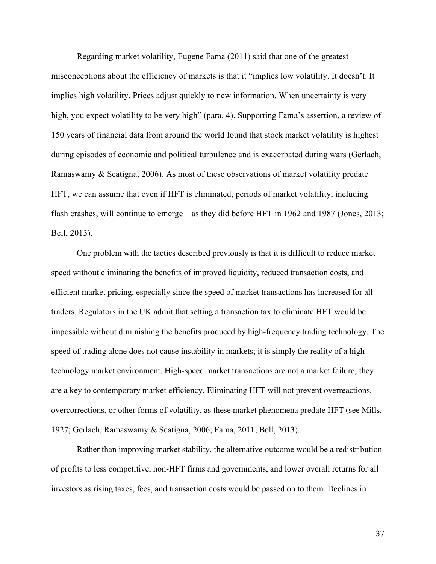Regarding market volatility, Eugene Fama (2011) said that one of the greatest misconceptions about the efficiency of markets is that it "implies low volatility. It doesn't. It implies high volatility. Prices adjust quickly to new information. When uncertainty is very high, you expect volatility to be very high" (para. 4). Supporting Fama's assertion, a review of 150 years of financial data from around the world found that stock market volatility is highest during episodes of economic and political turbulence and is exacerbated during wars (Gerlach, Ramaswamy & Scatigna, 2006). As most of these observations of market volatility predate HFT, we can assume that even if HFT is eliminated, periods of market volatility, including flash crashes, will continue to emerge—as they did before HFT in 1962 and 1987 (Jones, 2013; Bell, 2013).

One problem with the tactics described previously is that it is difficult to reduce market speed without eliminating the benefits of improved liquidity, reduced transaction costs, and efficient market pricing, especially since the speed of market transactions has increased for all traders. Regulators in the UK admit that setting a transaction tax to eliminate HFT would be impossible without diminishing the benefits produced by high-frequency trading technology. The speed of trading alone does not cause instability in markets; it is simply the reality of a hightechnology market environment. High-speed market transactions are not a market failure; they are a key to contemporary market efficiency. Eliminating HFT will not prevent overreactions, overcorrections, or other forms of volatility, as these market phenomena predate HFT (see Mills, 1927; Gerlach, Ramaswamy & Scatigna, 2006; Fama, 2011; Bell, 2013).

Rather than improving market stability, the alternative outcome would be a redistribution of profits to less competitive, non-HFT firms and governments, and lower overall returns for all investors as rising taxes, fees, and transaction costs would be passed on to them. Declines in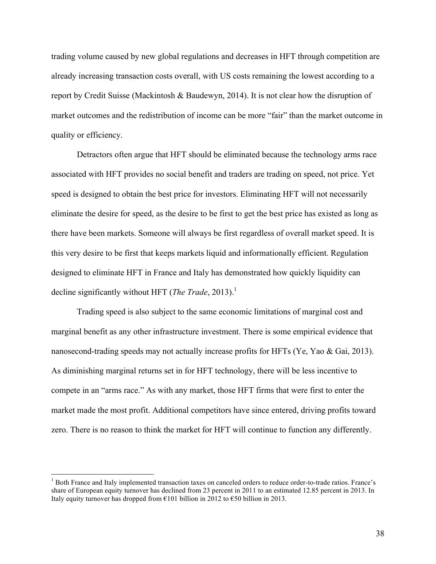trading volume caused by new global regulations and decreases in HFT through competition are already increasing transaction costs overall, with US costs remaining the lowest according to a report by Credit Suisse (Mackintosh & Baudewyn, 2014). It is not clear how the disruption of market outcomes and the redistribution of income can be more "fair" than the market outcome in quality or efficiency.

Detractors often argue that HFT should be eliminated because the technology arms race associated with HFT provides no social benefit and traders are trading on speed, not price. Yet speed is designed to obtain the best price for investors. Eliminating HFT will not necessarily eliminate the desire for speed, as the desire to be first to get the best price has existed as long as there have been markets. Someone will always be first regardless of overall market speed. It is this very desire to be first that keeps markets liquid and informationally efficient. Regulation designed to eliminate HFT in France and Italy has demonstrated how quickly liquidity can decline significantly without HFT (*The Trade*, 2013).<sup>1</sup>

Trading speed is also subject to the same economic limitations of marginal cost and marginal benefit as any other infrastructure investment. There is some empirical evidence that nanosecond-trading speeds may not actually increase profits for HFTs (Ye, Yao & Gai, 2013). As diminishing marginal returns set in for HFT technology, there will be less incentive to compete in an "arms race." As with any market, those HFT firms that were first to enter the market made the most profit. Additional competitors have since entered, driving profits toward zero. There is no reason to think the market for HFT will continue to function any differently.

 $<sup>1</sup>$  Both France and Italy implemented transaction taxes on canceled orders to reduce order-to-trade ratios. France's</sup> share of European equity turnover has declined from 23 percent in 2011 to an estimated 12.85 percent in 2013. In Italy equity turnover has dropped from  $E101$  billion in 2012 to  $E50$  billion in 2013.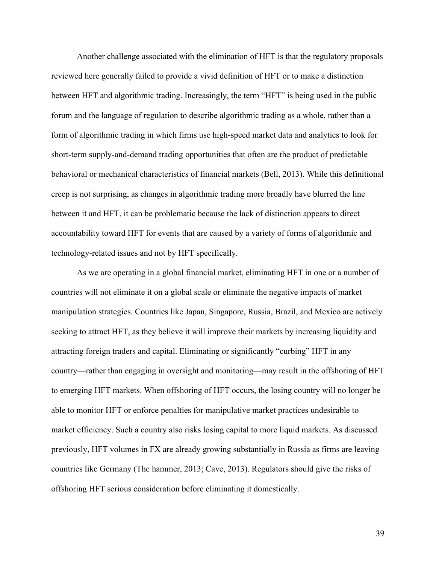Another challenge associated with the elimination of HFT is that the regulatory proposals reviewed here generally failed to provide a vivid definition of HFT or to make a distinction between HFT and algorithmic trading. Increasingly, the term "HFT" is being used in the public forum and the language of regulation to describe algorithmic trading as a whole, rather than a form of algorithmic trading in which firms use high-speed market data and analytics to look for short-term supply-and-demand trading opportunities that often are the product of predictable behavioral or mechanical characteristics of financial markets (Bell, 2013). While this definitional creep is not surprising, as changes in algorithmic trading more broadly have blurred the line between it and HFT, it can be problematic because the lack of distinction appears to direct accountability toward HFT for events that are caused by a variety of forms of algorithmic and technology-related issues and not by HFT specifically.

As we are operating in a global financial market, eliminating HFT in one or a number of countries will not eliminate it on a global scale or eliminate the negative impacts of market manipulation strategies. Countries like Japan, Singapore, Russia, Brazil, and Mexico are actively seeking to attract HFT, as they believe it will improve their markets by increasing liquidity and attracting foreign traders and capital. Eliminating or significantly "curbing" HFT in any country—rather than engaging in oversight and monitoring—may result in the offshoring of HFT to emerging HFT markets. When offshoring of HFT occurs, the losing country will no longer be able to monitor HFT or enforce penalties for manipulative market practices undesirable to market efficiency. Such a country also risks losing capital to more liquid markets. As discussed previously, HFT volumes in FX are already growing substantially in Russia as firms are leaving countries like Germany (The hammer, 2013; Cave, 2013). Regulators should give the risks of offshoring HFT serious consideration before eliminating it domestically.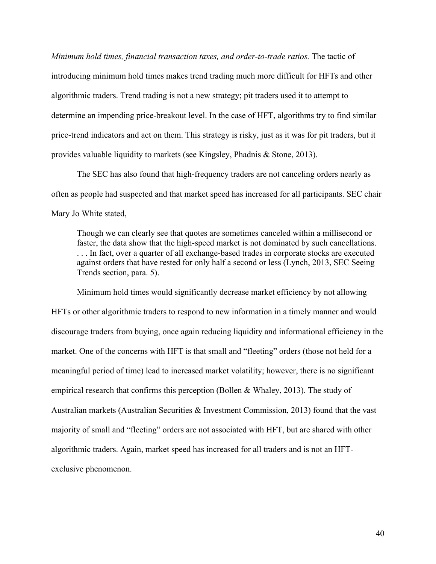*Minimum hold times, financial transaction taxes, and order-to-trade ratios.* The tactic of introducing minimum hold times makes trend trading much more difficult for HFTs and other algorithmic traders. Trend trading is not a new strategy; pit traders used it to attempt to determine an impending price-breakout level. In the case of HFT, algorithms try to find similar price-trend indicators and act on them. This strategy is risky, just as it was for pit traders, but it provides valuable liquidity to markets (see Kingsley, Phadnis & Stone, 2013).

The SEC has also found that high-frequency traders are not canceling orders nearly as often as people had suspected and that market speed has increased for all participants. SEC chair Mary Jo White stated,

Though we can clearly see that quotes are sometimes canceled within a millisecond or faster, the data show that the high-speed market is not dominated by such cancellations. . . . In fact, over a quarter of all exchange-based trades in corporate stocks are executed against orders that have rested for only half a second or less (Lynch, 2013, SEC Seeing Trends section, para. 5).

Minimum hold times would significantly decrease market efficiency by not allowing HFTs or other algorithmic traders to respond to new information in a timely manner and would discourage traders from buying, once again reducing liquidity and informational efficiency in the market. One of the concerns with HFT is that small and "fleeting" orders (those not held for a meaningful period of time) lead to increased market volatility; however, there is no significant empirical research that confirms this perception (Bollen & Whaley, 2013). The study of Australian markets (Australian Securities & Investment Commission, 2013) found that the vast majority of small and "fleeting" orders are not associated with HFT, but are shared with other algorithmic traders. Again, market speed has increased for all traders and is not an HFTexclusive phenomenon.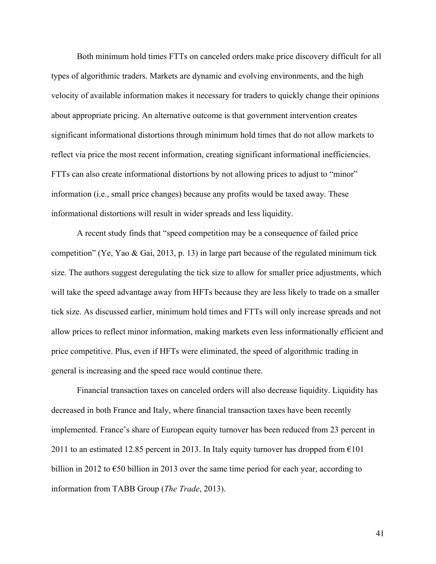Both minimum hold times FTTs on canceled orders make price discovery difficult for all types of algorithmic traders. Markets are dynamic and evolving environments, and the high velocity of available information makes it necessary for traders to quickly change their opinions about appropriate pricing. An alternative outcome is that government intervention creates significant informational distortions through minimum hold times that do not allow markets to reflect via price the most recent information, creating significant informational inefficiencies. FTTs can also create informational distortions by not allowing prices to adjust to "minor" information (i.e., small price changes) because any profits would be taxed away. These informational distortions will result in wider spreads and less liquidity.

A recent study finds that "speed competition may be a consequence of failed price competition" (Ye, Yao & Gai, 2013, p. 13) in large part because of the regulated minimum tick size. The authors suggest deregulating the tick size to allow for smaller price adjustments, which will take the speed advantage away from HFTs because they are less likely to trade on a smaller tick size. As discussed earlier, minimum hold times and FTTs will only increase spreads and not allow prices to reflect minor information, making markets even less informationally efficient and price competitive. Plus, even if HFTs were eliminated, the speed of algorithmic trading in general is increasing and the speed race would continue there.

Financial transaction taxes on canceled orders will also decrease liquidity. Liquidity has decreased in both France and Italy, where financial transaction taxes have been recently implemented. France's share of European equity turnover has been reduced from 23 percent in 2011 to an estimated 12.85 percent in 2013. In Italy equity turnover has dropped from  $E101$ billion in 2012 to  $\epsilon$ 50 billion in 2013 over the same time period for each year, according to information from TABB Group (*The Trade*, 2013).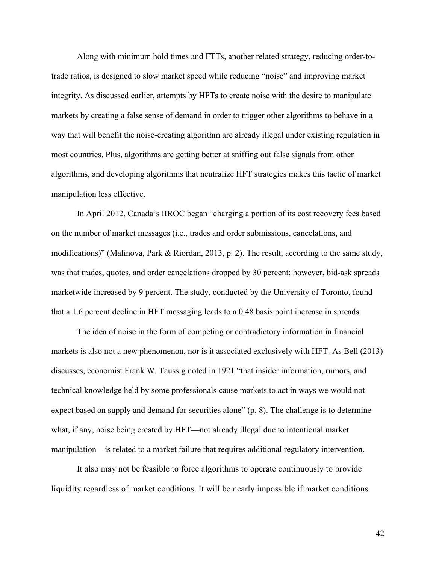Along with minimum hold times and FTTs, another related strategy, reducing order-totrade ratios, is designed to slow market speed while reducing "noise" and improving market integrity. As discussed earlier, attempts by HFTs to create noise with the desire to manipulate markets by creating a false sense of demand in order to trigger other algorithms to behave in a way that will benefit the noise-creating algorithm are already illegal under existing regulation in most countries. Plus, algorithms are getting better at sniffing out false signals from other algorithms, and developing algorithms that neutralize HFT strategies makes this tactic of market manipulation less effective.

In April 2012, Canada's IIROC began "charging a portion of its cost recovery fees based on the number of market messages (i.e., trades and order submissions, cancelations, and modifications)" (Malinova, Park & Riordan, 2013, p. 2). The result, according to the same study, was that trades, quotes, and order cancelations dropped by 30 percent; however, bid-ask spreads marketwide increased by 9 percent. The study, conducted by the University of Toronto, found that a 1.6 percent decline in HFT messaging leads to a 0.48 basis point increase in spreads.

The idea of noise in the form of competing or contradictory information in financial markets is also not a new phenomenon, nor is it associated exclusively with HFT. As Bell (2013) discusses, economist Frank W. Taussig noted in 1921 "that insider information, rumors, and technical knowledge held by some professionals cause markets to act in ways we would not expect based on supply and demand for securities alone" (p. 8). The challenge is to determine what, if any, noise being created by HFT—not already illegal due to intentional market manipulation—is related to a market failure that requires additional regulatory intervention.

It also may not be feasible to force algorithms to operate continuously to provide liquidity regardless of market conditions. It will be nearly impossible if market conditions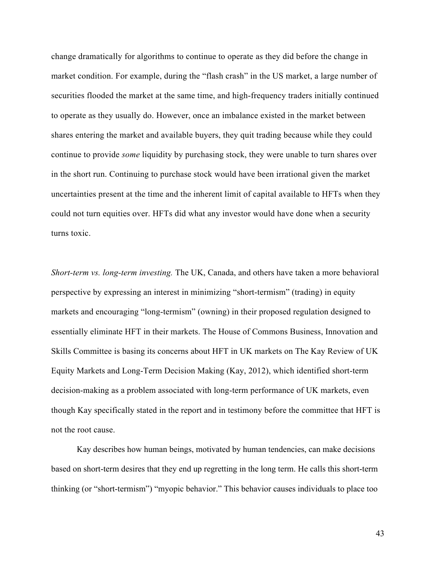change dramatically for algorithms to continue to operate as they did before the change in market condition. For example, during the "flash crash" in the US market, a large number of securities flooded the market at the same time, and high-frequency traders initially continued to operate as they usually do. However, once an imbalance existed in the market between shares entering the market and available buyers, they quit trading because while they could continue to provide *some* liquidity by purchasing stock, they were unable to turn shares over in the short run. Continuing to purchase stock would have been irrational given the market uncertainties present at the time and the inherent limit of capital available to HFTs when they could not turn equities over. HFTs did what any investor would have done when a security turns toxic.

*Short-term vs. long-term investing.* The UK, Canada, and others have taken a more behavioral perspective by expressing an interest in minimizing "short-termism" (trading) in equity markets and encouraging "long-termism" (owning) in their proposed regulation designed to essentially eliminate HFT in their markets. The House of Commons Business, Innovation and Skills Committee is basing its concerns about HFT in UK markets on The Kay Review of UK Equity Markets and Long-Term Decision Making (Kay, 2012), which identified short-term decision-making as a problem associated with long-term performance of UK markets, even though Kay specifically stated in the report and in testimony before the committee that HFT is not the root cause.

Kay describes how human beings, motivated by human tendencies, can make decisions based on short-term desires that they end up regretting in the long term. He calls this short-term thinking (or "short-termism") "myopic behavior." This behavior causes individuals to place too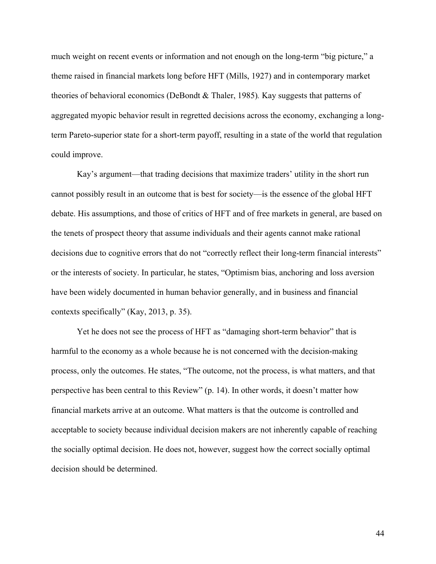much weight on recent events or information and not enough on the long-term "big picture," a theme raised in financial markets long before HFT (Mills, 1927) and in contemporary market theories of behavioral economics (DeBondt & Thaler, 1985)*.* Kay suggests that patterns of aggregated myopic behavior result in regretted decisions across the economy, exchanging a longterm Pareto-superior state for a short-term payoff, resulting in a state of the world that regulation could improve.

Kay's argument—that trading decisions that maximize traders' utility in the short run cannot possibly result in an outcome that is best for society—is the essence of the global HFT debate. His assumptions, and those of critics of HFT and of free markets in general, are based on the tenets of prospect theory that assume individuals and their agents cannot make rational decisions due to cognitive errors that do not "correctly reflect their long-term financial interests" or the interests of society. In particular, he states, "Optimism bias, anchoring and loss aversion have been widely documented in human behavior generally, and in business and financial contexts specifically" (Kay, 2013, p. 35).

Yet he does not see the process of HFT as "damaging short-term behavior" that is harmful to the economy as a whole because he is not concerned with the decision-making process, only the outcomes. He states, "The outcome, not the process, is what matters, and that perspective has been central to this Review" (p. 14). In other words, it doesn't matter how financial markets arrive at an outcome. What matters is that the outcome is controlled and acceptable to society because individual decision makers are not inherently capable of reaching the socially optimal decision. He does not, however, suggest how the correct socially optimal decision should be determined.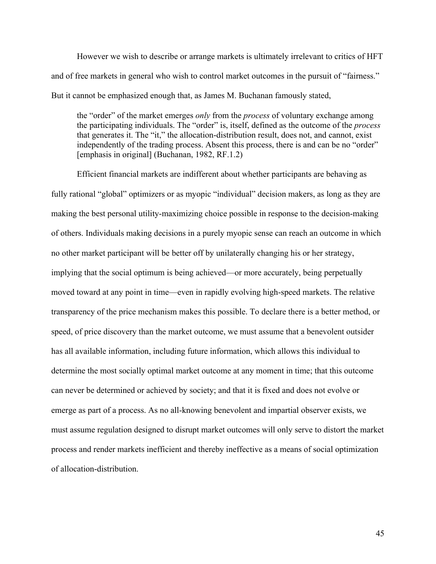However we wish to describe or arrange markets is ultimately irrelevant to critics of HFT and of free markets in general who wish to control market outcomes in the pursuit of "fairness." But it cannot be emphasized enough that, as James M. Buchanan famously stated,

the "order" of the market emerges *only* from the *process* of voluntary exchange among the participating individuals. The "order" is, itself, defined as the outcome of the *process* that generates it. The "it," the allocation-distribution result, does not, and cannot, exist independently of the trading process. Absent this process, there is and can be no "order" [emphasis in original] (Buchanan, 1982, RF.1.2)

Efficient financial markets are indifferent about whether participants are behaving as fully rational "global" optimizers or as myopic "individual" decision makers, as long as they are making the best personal utility-maximizing choice possible in response to the decision-making of others. Individuals making decisions in a purely myopic sense can reach an outcome in which no other market participant will be better off by unilaterally changing his or her strategy, implying that the social optimum is being achieved—or more accurately, being perpetually moved toward at any point in time—even in rapidly evolving high-speed markets. The relative transparency of the price mechanism makes this possible. To declare there is a better method, or speed, of price discovery than the market outcome, we must assume that a benevolent outsider has all available information, including future information, which allows this individual to determine the most socially optimal market outcome at any moment in time; that this outcome can never be determined or achieved by society; and that it is fixed and does not evolve or emerge as part of a process. As no all-knowing benevolent and impartial observer exists, we must assume regulation designed to disrupt market outcomes will only serve to distort the market process and render markets inefficient and thereby ineffective as a means of social optimization of allocation-distribution.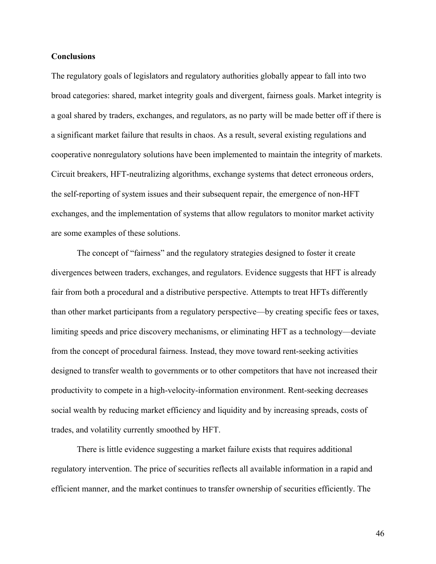#### **Conclusions**

The regulatory goals of legislators and regulatory authorities globally appear to fall into two broad categories: shared, market integrity goals and divergent, fairness goals. Market integrity is a goal shared by traders, exchanges, and regulators, as no party will be made better off if there is a significant market failure that results in chaos. As a result, several existing regulations and cooperative nonregulatory solutions have been implemented to maintain the integrity of markets. Circuit breakers, HFT-neutralizing algorithms, exchange systems that detect erroneous orders, the self-reporting of system issues and their subsequent repair, the emergence of non-HFT exchanges, and the implementation of systems that allow regulators to monitor market activity are some examples of these solutions.

The concept of "fairness" and the regulatory strategies designed to foster it create divergences between traders, exchanges, and regulators. Evidence suggests that HFT is already fair from both a procedural and a distributive perspective. Attempts to treat HFTs differently than other market participants from a regulatory perspective—by creating specific fees or taxes, limiting speeds and price discovery mechanisms, or eliminating HFT as a technology—deviate from the concept of procedural fairness. Instead, they move toward rent-seeking activities designed to transfer wealth to governments or to other competitors that have not increased their productivity to compete in a high-velocity-information environment. Rent-seeking decreases social wealth by reducing market efficiency and liquidity and by increasing spreads, costs of trades, and volatility currently smoothed by HFT.

There is little evidence suggesting a market failure exists that requires additional regulatory intervention. The price of securities reflects all available information in a rapid and efficient manner, and the market continues to transfer ownership of securities efficiently. The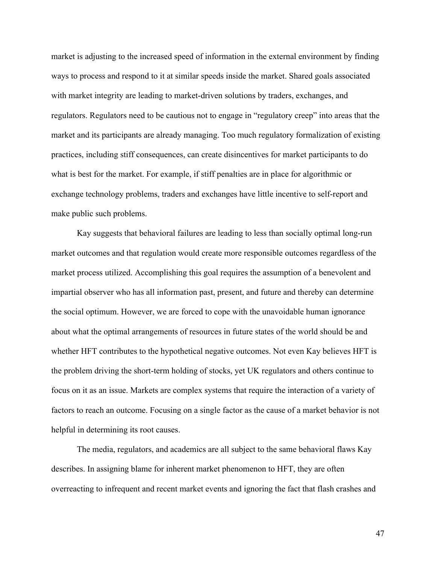market is adjusting to the increased speed of information in the external environment by finding ways to process and respond to it at similar speeds inside the market. Shared goals associated with market integrity are leading to market-driven solutions by traders, exchanges, and regulators. Regulators need to be cautious not to engage in "regulatory creep" into areas that the market and its participants are already managing. Too much regulatory formalization of existing practices, including stiff consequences, can create disincentives for market participants to do what is best for the market. For example, if stiff penalties are in place for algorithmic or exchange technology problems, traders and exchanges have little incentive to self-report and make public such problems.

Kay suggests that behavioral failures are leading to less than socially optimal long-run market outcomes and that regulation would create more responsible outcomes regardless of the market process utilized. Accomplishing this goal requires the assumption of a benevolent and impartial observer who has all information past, present, and future and thereby can determine the social optimum. However, we are forced to cope with the unavoidable human ignorance about what the optimal arrangements of resources in future states of the world should be and whether HFT contributes to the hypothetical negative outcomes. Not even Kay believes HFT is the problem driving the short-term holding of stocks, yet UK regulators and others continue to focus on it as an issue. Markets are complex systems that require the interaction of a variety of factors to reach an outcome. Focusing on a single factor as the cause of a market behavior is not helpful in determining its root causes.

The media, regulators, and academics are all subject to the same behavioral flaws Kay describes. In assigning blame for inherent market phenomenon to HFT, they are often overreacting to infrequent and recent market events and ignoring the fact that flash crashes and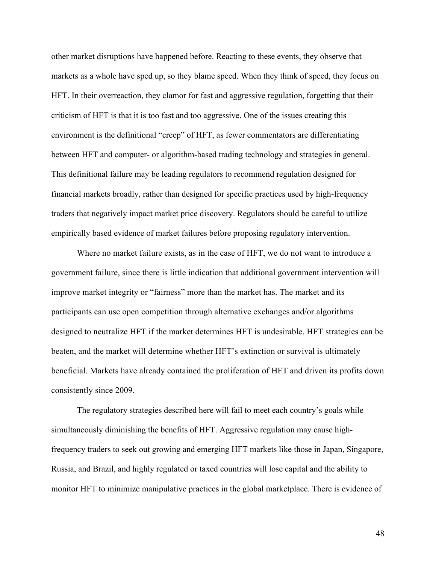other market disruptions have happened before. Reacting to these events, they observe that markets as a whole have sped up, so they blame speed. When they think of speed, they focus on HFT. In their overreaction, they clamor for fast and aggressive regulation, forgetting that their criticism of HFT is that it is too fast and too aggressive. One of the issues creating this environment is the definitional "creep" of HFT, as fewer commentators are differentiating between HFT and computer- or algorithm-based trading technology and strategies in general. This definitional failure may be leading regulators to recommend regulation designed for financial markets broadly, rather than designed for specific practices used by high-frequency traders that negatively impact market price discovery. Regulators should be careful to utilize empirically based evidence of market failures before proposing regulatory intervention.

Where no market failure exists, as in the case of HFT, we do not want to introduce a government failure, since there is little indication that additional government intervention will improve market integrity or "fairness" more than the market has. The market and its participants can use open competition through alternative exchanges and/or algorithms designed to neutralize HFT if the market determines HFT is undesirable. HFT strategies can be beaten, and the market will determine whether HFT's extinction or survival is ultimately beneficial. Markets have already contained the proliferation of HFT and driven its profits down consistently since 2009.

The regulatory strategies described here will fail to meet each country's goals while simultaneously diminishing the benefits of HFT. Aggressive regulation may cause highfrequency traders to seek out growing and emerging HFT markets like those in Japan, Singapore, Russia, and Brazil, and highly regulated or taxed countries will lose capital and the ability to monitor HFT to minimize manipulative practices in the global marketplace. There is evidence of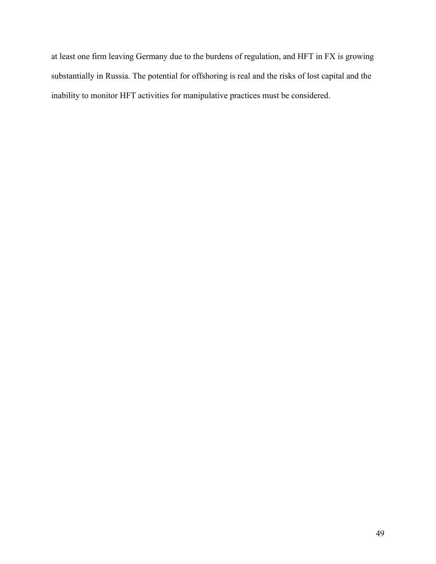at least one firm leaving Germany due to the burdens of regulation, and HFT in FX is growing substantially in Russia. The potential for offshoring is real and the risks of lost capital and the inability to monitor HFT activities for manipulative practices must be considered.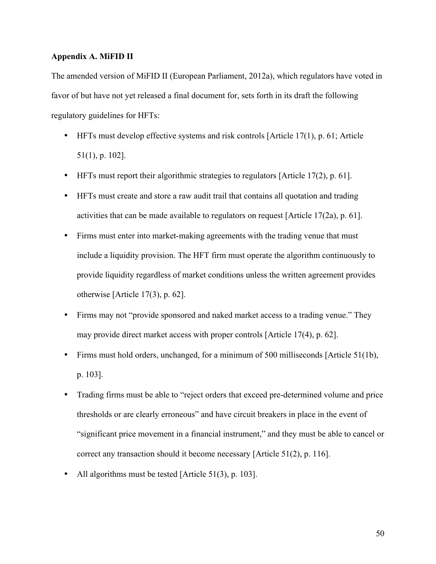#### **Appendix A. MiFID II**

The amended version of MiFID II (European Parliament, 2012a), which regulators have voted in favor of but have not yet released a final document for, sets forth in its draft the following regulatory guidelines for HFTs:

- HFTs must develop effective systems and risk controls [Article 17(1), p. 61; Article 51(1), p. 102].
- HFTs must report their algorithmic strategies to regulators [Article 17(2), p. 61].
- HFTs must create and store a raw audit trail that contains all quotation and trading activities that can be made available to regulators on request [Article 17(2a), p. 61].
- Firms must enter into market-making agreements with the trading venue that must include a liquidity provision. The HFT firm must operate the algorithm continuously to provide liquidity regardless of market conditions unless the written agreement provides otherwise [Article 17(3), p. 62].
- Firms may not "provide sponsored and naked market access to a trading venue." They may provide direct market access with proper controls [Article 17(4), p. 62].
- Firms must hold orders, unchanged, for a minimum of 500 milliseconds [Article 51(1b), p. 103].
- Trading firms must be able to "reject orders that exceed pre-determined volume and price thresholds or are clearly erroneous" and have circuit breakers in place in the event of "significant price movement in a financial instrument," and they must be able to cancel or correct any transaction should it become necessary [Article 51(2), p. 116].
- All algorithms must be tested [Article 51(3), p. 103].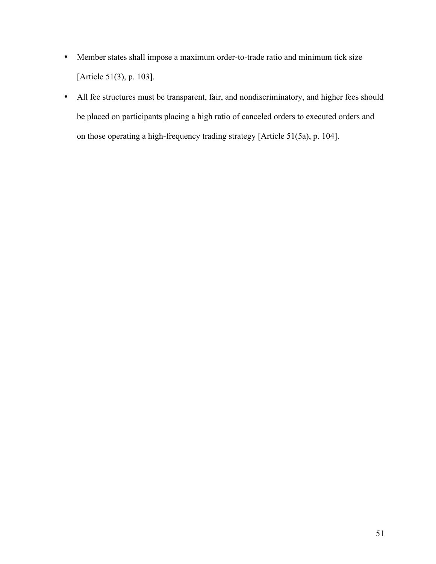- Member states shall impose a maximum order-to-trade ratio and minimum tick size [Article 51(3), p. 103].
- All fee structures must be transparent, fair, and nondiscriminatory, and higher fees should be placed on participants placing a high ratio of canceled orders to executed orders and on those operating a high-frequency trading strategy [Article 51(5a), p. 104].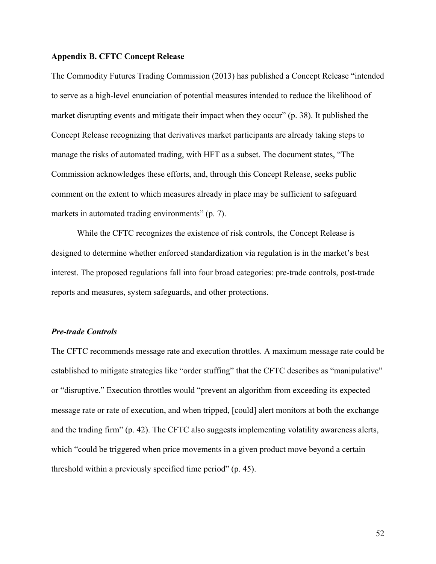#### **Appendix B. CFTC Concept Release**

The Commodity Futures Trading Commission (2013) has published a Concept Release "intended to serve as a high-level enunciation of potential measures intended to reduce the likelihood of market disrupting events and mitigate their impact when they occur" (p. 38). It published the Concept Release recognizing that derivatives market participants are already taking steps to manage the risks of automated trading, with HFT as a subset. The document states, "The Commission acknowledges these efforts, and, through this Concept Release, seeks public comment on the extent to which measures already in place may be sufficient to safeguard markets in automated trading environments" (p. 7).

While the CFTC recognizes the existence of risk controls, the Concept Release is designed to determine whether enforced standardization via regulation is in the market's best interest. The proposed regulations fall into four broad categories: pre-trade controls, post-trade reports and measures, system safeguards, and other protections.

#### *Pre-trade Controls*

The CFTC recommends message rate and execution throttles. A maximum message rate could be established to mitigate strategies like "order stuffing" that the CFTC describes as "manipulative" or "disruptive." Execution throttles would "prevent an algorithm from exceeding its expected message rate or rate of execution, and when tripped, [could] alert monitors at both the exchange and the trading firm" (p. 42). The CFTC also suggests implementing volatility awareness alerts, which "could be triggered when price movements in a given product move beyond a certain threshold within a previously specified time period" (p. 45).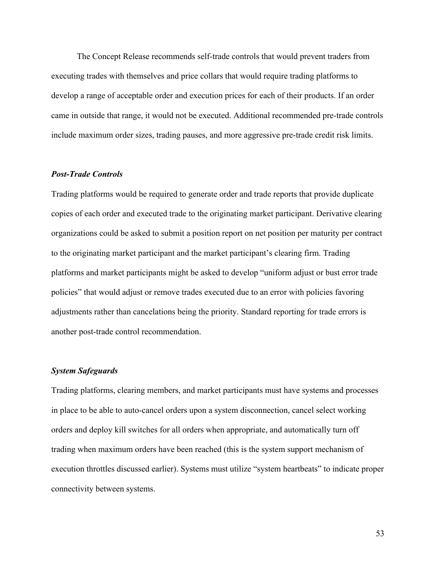The Concept Release recommends self-trade controls that would prevent traders from executing trades with themselves and price collars that would require trading platforms to develop a range of acceptable order and execution prices for each of their products. If an order came in outside that range, it would not be executed. Additional recommended pre-trade controls include maximum order sizes, trading pauses, and more aggressive pre-trade credit risk limits.

#### *Post-Trade Controls*

Trading platforms would be required to generate order and trade reports that provide duplicate copies of each order and executed trade to the originating market participant. Derivative clearing organizations could be asked to submit a position report on net position per maturity per contract to the originating market participant and the market participant's clearing firm. Trading platforms and market participants might be asked to develop "uniform adjust or bust error trade policies" that would adjust or remove trades executed due to an error with policies favoring adjustments rather than cancelations being the priority. Standard reporting for trade errors is another post-trade control recommendation.

#### *System Safeguards*

Trading platforms, clearing members, and market participants must have systems and processes in place to be able to auto-cancel orders upon a system disconnection, cancel select working orders and deploy kill switches for all orders when appropriate, and automatically turn off trading when maximum orders have been reached (this is the system support mechanism of execution throttles discussed earlier). Systems must utilize "system heartbeats" to indicate proper connectivity between systems.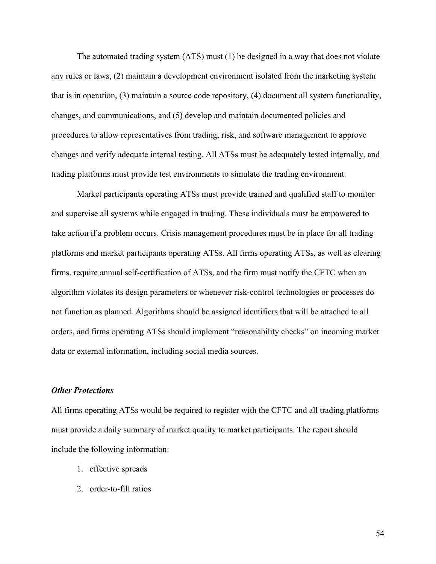The automated trading system (ATS) must (1) be designed in a way that does not violate any rules or laws, (2) maintain a development environment isolated from the marketing system that is in operation, (3) maintain a source code repository, (4) document all system functionality, changes, and communications, and (5) develop and maintain documented policies and procedures to allow representatives from trading, risk, and software management to approve changes and verify adequate internal testing. All ATSs must be adequately tested internally, and trading platforms must provide test environments to simulate the trading environment.

Market participants operating ATSs must provide trained and qualified staff to monitor and supervise all systems while engaged in trading. These individuals must be empowered to take action if a problem occurs. Crisis management procedures must be in place for all trading platforms and market participants operating ATSs. All firms operating ATSs, as well as clearing firms, require annual self-certification of ATSs, and the firm must notify the CFTC when an algorithm violates its design parameters or whenever risk-control technologies or processes do not function as planned. Algorithms should be assigned identifiers that will be attached to all orders, and firms operating ATSs should implement "reasonability checks" on incoming market data or external information, including social media sources.

#### *Other Protections*

All firms operating ATSs would be required to register with the CFTC and all trading platforms must provide a daily summary of market quality to market participants. The report should include the following information:

- 1. effective spreads
- 2. order-to-fill ratios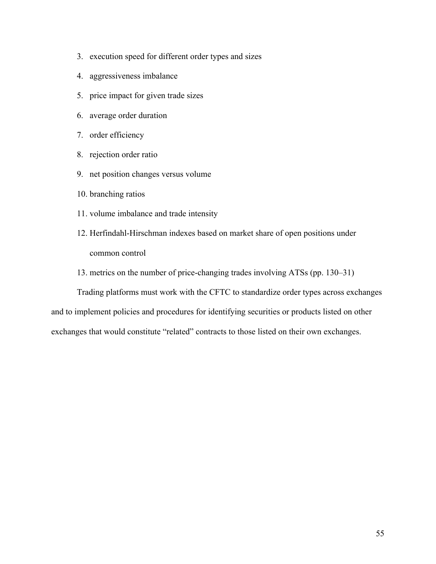- 3. execution speed for different order types and sizes
- 4. aggressiveness imbalance
- 5. price impact for given trade sizes
- 6. average order duration
- 7. order efficiency
- 8. rejection order ratio
- 9. net position changes versus volume
- 10. branching ratios
- 11. volume imbalance and trade intensity
- 12. Herfindahl-Hirschman indexes based on market share of open positions under common control
- 13. metrics on the number of price-changing trades involving ATSs (pp. 130–31)

Trading platforms must work with the CFTC to standardize order types across exchanges and to implement policies and procedures for identifying securities or products listed on other exchanges that would constitute "related" contracts to those listed on their own exchanges.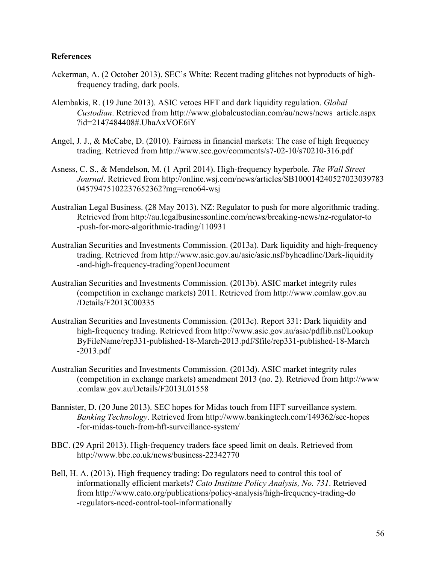# **References**

- Ackerman, A. (2 October 2013). SEC's White: Recent trading glitches not byproducts of highfrequency trading, dark pools.
- Alembakis, R. (19 June 2013). ASIC vetoes HFT and dark liquidity regulation. *Global Custodian*. Retrieved from [http://www.globalcustodian.com/au/news/news\\_article.aspx](http://www.globalcustodian.com/au/news/news_article.aspx?id=2147484408#.UhaAxVOE6iY) [?id=2147484408#.UhaAxVOE6iY](http://www.globalcustodian.com/au/news/news_article.aspx?id=2147484408#.UhaAxVOE6iY)
- Angel, J. J., & McCabe, D. (2010). Fairness in financial markets: The case of high frequency trading. Retrieved from <http://www.sec.gov/comments/s7-02-10/s70210-316.pdf>
- Asness, C. S., & Mendelson, M. (1 April 2014). High-frequency hyperbole. *The Wall Street Journal*. Retrieved from [http://online.wsj.com/news/articles/SB100014240527023039783](http://online.wsj.com/news/articles/SB10001424052702303978304579475102237652362?mg=reno64-wsj) [04579475102237652362?mg=reno64-wsj](http://online.wsj.com/news/articles/SB10001424052702303978304579475102237652362?mg=reno64-wsj)
- Australian Legal Business. (28 May 2013). NZ: Regulator to push for more algorithmic trading. Retrieved from [http://au.legalbusinessonline.com/news/breaking-news/nz-regulator-to](http://au.legalbusinessonline.com/news/breaking-news/nz-regulator-to-push-for-more-algorithmic-trading/110931) [-push-for-more-algorithmic-trading/110931](http://au.legalbusinessonline.com/news/breaking-news/nz-regulator-to-push-for-more-algorithmic-trading/110931)
- Australian Securities and Investments Commission. (2013a). Dark liquidity and high-frequency trading. Retrieved from [http://www.asic.gov.au/asic/asic.nsf/byheadline/Dark-liquidity](http://www.asic.gov.au/asic/asic.nsf/byheadline/Dark-liquidity-and-high-frequency-trading?openDocument) [-and-high-frequency-trading?openDocument](http://www.asic.gov.au/asic/asic.nsf/byheadline/Dark-liquidity-and-high-frequency-trading?openDocument)
- Australian Securities and Investments Commission. (2013b). ASIC market integrity rules (competition in exchange markets) 2011. Retrieved from [http://www.comlaw.gov.au](http://www.comlaw.gov.au/Details/F2013C00335) [/Details/F2013C00335](http://www.comlaw.gov.au/Details/F2013C00335)
- Australian Securities and Investments Commission. (2013c). Report 331: Dark liquidity and high-frequency trading. Retrieved from [http://www.asic.gov.au/asic/pdflib.nsf/Lookup](http://www.asic.gov.au/asic/pdflib.nsf/LookupByFileName/rep331-published-18-March-2013.pdf/$file/rep331-published-18-March-2013.pdf) [ByFileName/rep331-published-18-March-2013.pdf/\\$file/rep331-published-18-March](http://www.asic.gov.au/asic/pdflib.nsf/LookupByFileName/rep331-published-18-March-2013.pdf/$file/rep331-published-18-March-2013.pdf) [-2013.pdf](http://www.asic.gov.au/asic/pdflib.nsf/LookupByFileName/rep331-published-18-March-2013.pdf/$file/rep331-published-18-March-2013.pdf)
- Australian Securities and Investments Commission. (2013d). ASIC market integrity rules (competition in exchange markets) amendment 2013 (no. 2). Retrieved from [http://www](http://www.comlaw.gov.au/Details/F2013L01558) [.comlaw.gov.au/Details/F2013L01558](http://www.comlaw.gov.au/Details/F2013L01558)
- Bannister, D. (20 June 2013). SEC hopes for Midas touch from HFT surveillance system. *Banking Technology*. Retrieved from [http://www.bankingtech.com/149362/sec-hopes](http://www.bankingtech.com/149362/sec-hopes-for-midas-touch-from-hft-surveillance-system/) [-for-midas-touch-from-hft-surveillance-system/](http://www.bankingtech.com/149362/sec-hopes-for-midas-touch-from-hft-surveillance-system/)
- BBC. (29 April 2013). High-frequency traders face speed limit on deals. Retrieved from <http://www.bbc.co.uk/news/business-22342770>
- Bell, H. A. (2013). High frequency trading: Do regulators need to control this tool of informationally efficient markets? *Cato Institute Policy Analysis, No. 731*. Retrieved from [http://www.cato.org/publications/policy-analysis/high-frequency-trading-do](http://www.cato.org/publications/policy-analysis/high-frequency-trading-do-regulators-need-control-tool-informationally) [-regulators-need-control-tool-informationally](http://www.cato.org/publications/policy-analysis/high-frequency-trading-do-regulators-need-control-tool-informationally)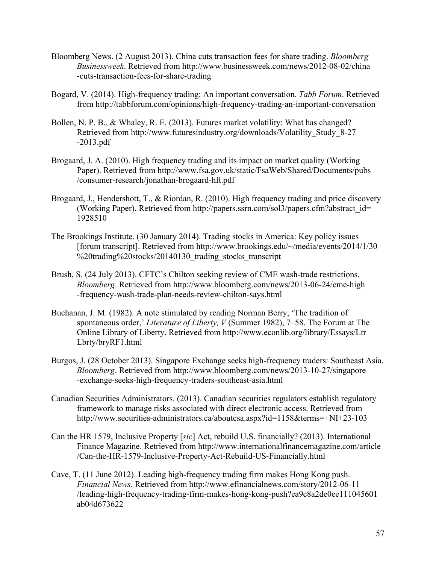- Bloomberg News. (2 August 2013). China cuts transaction fees for share trading. *Bloomberg Businessweek*. Retrieved from [http://www.businessweek.com/news/2012-08-02/china](http://www.businessweek.com/news/2012-08-02/china-cuts-transaction-fees-for-share-trading) [-cuts-transaction-fees-for-share-trading](http://www.businessweek.com/news/2012-08-02/china-cuts-transaction-fees-for-share-trading)
- Bogard, V. (2014). High-frequency trading: An important conversation. *Tabb Forum*. Retrieved from<http://tabbforum.com/opinions/high-frequency-trading-an-important-conversation>
- Bollen, N. P. B., & Whaley, R. E. (2013). Futures market volatility: What has changed? Retrieved from [http://www.futuresindustry.org/downloads/Volatility\\_Study\\_8-27](http://www.futuresindustry.org/downloads/Volatility_Study_8-27-2013.pdf) [-2013.pdf](http://www.futuresindustry.org/downloads/Volatility_Study_8-27-2013.pdf)
- Brogaard, J. A. (2010). High frequency trading and its impact on market quality (Working Paper). Retrieved from [http://www.fsa.gov.uk/static/FsaWeb/Shared/Documents/pubs](http://www.fsa.gov.uk/static/FsaWeb/Shared/Documents/pubs/consumer-research/jonathan-brogaard-hft.pdf) [/consumer-research/jonathan-brogaard-hft.pdf](http://www.fsa.gov.uk/static/FsaWeb/Shared/Documents/pubs/consumer-research/jonathan-brogaard-hft.pdf)
- Brogaard, J., Hendershott, T., & Riordan, R. (2010). High frequency trading and price discovery (Working Paper). Retrieved from [http://papers.ssrn.com/sol3/papers.cfm?abstract\\_id=](http://papers.ssrn.com/sol3/papers.cfm?abstract_id=1928510) [1928510](http://papers.ssrn.com/sol3/papers.cfm?abstract_id=1928510)
- The Brookings Institute. (30 January 2014). Trading stocks in America: Key policy issues [forum transcript]. Retrieved from [http://www.brookings.edu/~/media/events/2014/1/30](http://www.brookings.edu/~/media/events/2014/1/30%20trading%20stocks/20140130_trading_stocks_transcript) %20trading%20stocks/20140130 trading stocks transcript
- Brush, S. (24 July 2013). CFTC's Chilton seeking review of CME wash-trade restrictions. *Bloomberg*. Retrieved from [http://www.bloomberg.com/news/2013-06-24/cme-high](http://www.bloomberg.com/news/2013-06-24/cme-high-frequency-wash-trade-plan-needs-review-chilton-says.html) [-frequency-wash-trade-plan-needs-review-chilton-says.html](http://www.bloomberg.com/news/2013-06-24/cme-high-frequency-wash-trade-plan-needs-review-chilton-says.html)
- Buchanan, J. M. (1982). A note stimulated by reading Norman Berry, 'The tradition of spontaneous order,' *Literature of Liberty, V* (Summer 1982), 7–58. The Forum at The Online Library of Liberty. Retrieved from [http://www.econlib.org/library/Essays/Ltr](http://www.econlib.org/library/Essays/LtrLbrty/bryRF1.html) [Lbrty/bryRF1.html](http://www.econlib.org/library/Essays/LtrLbrty/bryRF1.html)
- Burgos, J. (28 October 2013). Singapore Exchange seeks high-frequency traders: Southeast Asia. *Bloomberg*. Retrieved from [http://www.bloomberg.com/news/2013-10-27/singapore](http://www.bloomberg.com/news/2013-10-27/singapore-exchange-seeks-high-frequency-traders-southeast-asia.html) [-exchange-seeks-high-frequency-traders-southeast-asia.html](http://www.bloomberg.com/news/2013-10-27/singapore-exchange-seeks-high-frequency-traders-southeast-asia.html)
- Canadian Securities Administrators. (2013). Canadian securities regulators establish regulatory framework to manage risks associated with direct electronic access. Retrieved from <http://www.securities-administrators.ca/aboutcsa.aspx?id=1158&terms=+NI+23-103>
- Can the HR 1579, Inclusive Property [*sic*] Act, rebuild U.S. financially? (2013). International Finance Magazine. Retrieved from [http://www.internationalfinancemagazine.com/article](http://www.internationalfinancemagazine.com/article/Can-the-HR-1579-Inclusive-Property-Act-Rebuild-US-Financially.html) [/Can-the-HR-1579-Inclusive-Property-Act-Rebuild-US-Financially.html](http://www.internationalfinancemagazine.com/article/Can-the-HR-1579-Inclusive-Property-Act-Rebuild-US-Financially.html)
- Cave, T. (11 June 2012). Leading high-frequency trading firm makes Hong Kong push. *Financial News*. Retrieved from [http://www.efinancialnews.com/story/2012-06-11](http://www.efinancialnews.com/story/2012-06-11/leading-high-frequency-trading-firm-makes-hong-kong-push?ea9c8a2de0ee111045601ab04d673622) [/leading-high-frequency-trading-firm-makes-hong-kong-push?ea9c8a2de0ee111045601](http://www.efinancialnews.com/story/2012-06-11/leading-high-frequency-trading-firm-makes-hong-kong-push?ea9c8a2de0ee111045601ab04d673622) [ab04d673622](http://www.efinancialnews.com/story/2012-06-11/leading-high-frequency-trading-firm-makes-hong-kong-push?ea9c8a2de0ee111045601ab04d673622)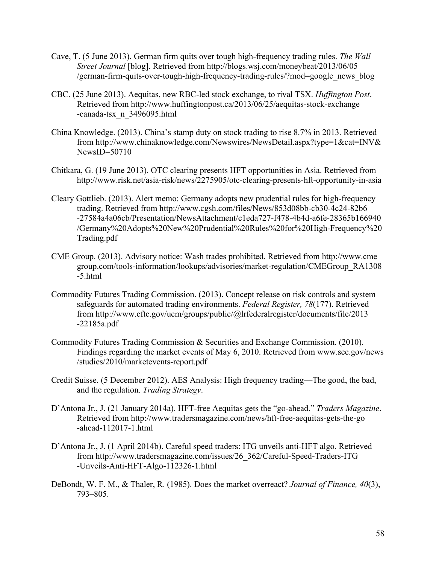- Cave, T. (5 June 2013). German firm quits over tough high-frequency trading rules. *The Wall Street Journal* [blog]. Retrieved from [http://blogs.wsj.com/moneybeat/2013/06/05](http://blogs.wsj.com/moneybeat/2013/06/05/german-firm-quits-over-tough-high-frequency-trading-rules/?mod=google_news_blog) [/german-firm-quits-over-tough-high-frequency-trading-rules/?mod=google\\_news\\_blog](http://blogs.wsj.com/moneybeat/2013/06/05/german-firm-quits-over-tough-high-frequency-trading-rules/?mod=google_news_blog)
- CBC. (25 June 2013). Aequitas, new RBC-led stock exchange, to rival TSX. *Huffington Post*. Retrieved from [http://www.huffingtonpost.ca/2013/06/25/aequitas-stock-exchange](http://www.huffingtonpost.ca/2013/06/25/aequitas-stock-exchange-canada-tsx_n_3496095.html) [-canada-tsx\\_n\\_3496095.html](http://www.huffingtonpost.ca/2013/06/25/aequitas-stock-exchange-canada-tsx_n_3496095.html)
- China Knowledge. (2013). China's stamp duty on stock trading to rise 8.7% in 2013. Retrieved from [http://www.chinaknowledge.com/Newswires/NewsDetail.aspx?type=1&cat=INV&](http://www.chinaknowledge.com/Newswires/NewsDetail.aspx?type=1&cat=INV&NewsID=50710)  $NewsID = 50710$
- Chitkara, G. (19 June 2013). OTC clearing presents HFT opportunities in Asia. Retrieved from <http://www.risk.net/asia-risk/news/2275905/otc-clearing-presents-hft-opportunity-in-asia>
- Cleary Gottlieb. (2013). Alert memo: Germany adopts new prudential rules for high-frequency trading. Retrieved from [http://www.cgsh.com/files/News/853d08bb-cb30-4c24-82b6](http://www.cgsh.com/files/News/853d08bb-cb30-4c24-82b6-27584a4a06cb/Presentation/NewsAttachment/c1eda727-f478-4b4d-a6fe-28365b166940/Germany%20Adopts%20New%20Prudential%20Rules%20for%20High-Frequency%20Trading.pdf) [-27584a4a06cb/Presentation/NewsAttachment/c1eda727-f478-4b4d-a6fe-28365b166940](http://www.cgsh.com/files/News/853d08bb-cb30-4c24-82b6-27584a4a06cb/Presentation/NewsAttachment/c1eda727-f478-4b4d-a6fe-28365b166940/Germany%20Adopts%20New%20Prudential%20Rules%20for%20High-Frequency%20Trading.pdf) [/Germany%20Adopts%20New%20Prudential%20Rules%20for%20High-Frequency%20](http://www.cgsh.com/files/News/853d08bb-cb30-4c24-82b6-27584a4a06cb/Presentation/NewsAttachment/c1eda727-f478-4b4d-a6fe-28365b166940/Germany%20Adopts%20New%20Prudential%20Rules%20for%20High-Frequency%20Trading.pdf) [Trading.pdf](http://www.cgsh.com/files/News/853d08bb-cb30-4c24-82b6-27584a4a06cb/Presentation/NewsAttachment/c1eda727-f478-4b4d-a6fe-28365b166940/Germany%20Adopts%20New%20Prudential%20Rules%20for%20High-Frequency%20Trading.pdf)
- CME Group. (2013). Advisory notice: Wash trades prohibited. Retrieved from [http://www.cme](http://www.cmegroup.com/tools-information/lookups/advisories/market-regulation/CMEGroup_RA1308-5.html) [group.com/tools-information/lookups/advisories/market-regulation/CMEGroup\\_RA1308](http://www.cmegroup.com/tools-information/lookups/advisories/market-regulation/CMEGroup_RA1308-5.html) [-5.html](http://www.cmegroup.com/tools-information/lookups/advisories/market-regulation/CMEGroup_RA1308-5.html)
- Commodity Futures Trading Commission. (2013). Concept release on risk controls and system safeguards for automated trading environments. *Federal Register, 78*(177). Retrieved from [http://www.cftc.gov/ucm/groups/public/@lrfederalregister/documents/file/2013](http://www.cftc.gov/ucm/groups/public/@lrfederalregister/documents/file/2013-22185a.pdf) [-22185a.pdf](http://www.cftc.gov/ucm/groups/public/@lrfederalregister/documents/file/2013-22185a.pdf)
- Commodity Futures Trading Commission & Securities and Exchange Commission. (2010). Findings regarding the market events of May 6, 2010. Retrieved from [www.sec.gov/news](www.sec.gov/news/studies/2010/marketevents-report.pdf) [/studies/2010/marketevents-report.pdf](www.sec.gov/news/studies/2010/marketevents-report.pdf)
- Credit Suisse. (5 December 2012). AES Analysis: High frequency trading—The good, the bad, and the regulation. *Trading Strategy*.
- D'Antona Jr., J. (21 January 2014a). HFT-free Aequitas gets the "go-ahead." *Traders Magazine*. Retrieved from [http://www.tradersmagazine.com/news/hft-free-aequitas-gets-the-go](http://www.tradersmagazine.com/news/hft-free-aequitas-gets-the-go-ahead-112017-1.html) [-ahead-112017-1.html](http://www.tradersmagazine.com/news/hft-free-aequitas-gets-the-go-ahead-112017-1.html)
- D'Antona Jr., J. (1 April 2014b). Careful speed traders: ITG unveils anti-HFT algo. Retrieved from [http://www.tradersmagazine.com/issues/26\\_362/Careful-Speed-Traders-ITG](http://www.tradersmagazine.com/issues/26_362/Careful-Speed-Traders-ITG-Unveils-Anti-HFT-Algo-112326-1.html) [-Unveils-Anti-HFT-Algo-112326-1.html](http://www.tradersmagazine.com/issues/26_362/Careful-Speed-Traders-ITG-Unveils-Anti-HFT-Algo-112326-1.html)
- DeBondt, W. F. M., & Thaler, R. (1985). Does the market overreact? *Journal of Finance, 40*(3), 793–805.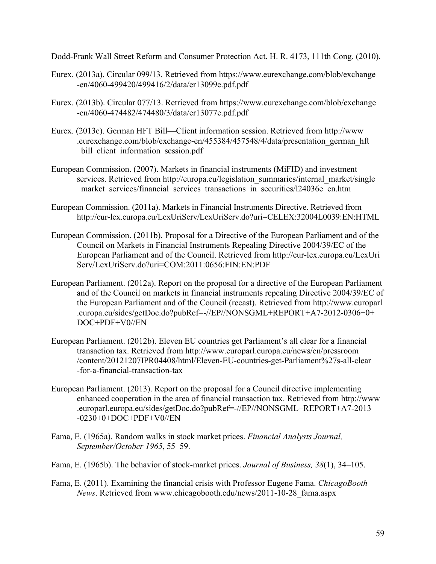Dodd-Frank Wall Street Reform and Consumer Protection Act. H. R. 4173, 111th Cong. (2010).

- Eurex. (2013a). Circular 099/13. Retrieved from [https://www.eurexchange.com/blob/exchange](https://www.eurexchange.com/blob/exchange-en/4060-499420/499416/2/data/er13099e.pdf.pdf) [-en/4060-499420/499416/2/data/er13099e.pdf.pdf](https://www.eurexchange.com/blob/exchange-en/4060-499420/499416/2/data/er13099e.pdf.pdf)
- Eurex. (2013b). Circular 077/13. Retrieved from [https://www.eurexchange.com/blob/exchange](https://www.eurexchange.com/blob/exchange-en/4060-474482/474480/3/data/er13077e.pdf.pdf) [-en/4060-474482/474480/3/data/er13077e.pdf.pdf](https://www.eurexchange.com/blob/exchange-en/4060-474482/474480/3/data/er13077e.pdf.pdf)
- Eurex. (2013c). German HFT Bill—Client information session. Retrieved from [http://www](http://www.eurexchange.com/blob/exchange-en/455384/457548/4/data/presentation_german_hft_bill_client_information_session.pdf) [.eurexchange.com/blob/exchange-en/455384/457548/4/data/presentation\\_german\\_hft](http://www.eurexchange.com/blob/exchange-en/455384/457548/4/data/presentation_german_hft_bill_client_information_session.pdf) bill client information session.pdf
- European Commission. (2007). Markets in financial instruments (MiFID) and investment services. Retrieved from [http://europa.eu/legislation\\_summaries/internal\\_market/single](http://europa.eu/legislation_summaries/internal_market/single_market_services/financial_services_transactions_in_securities/l24036e_en.htm) market services/financial services transactions in securities/l24036e\_en.htm
- European Commission. (2011a). Markets in Financial Instruments Directive. Retrieved from <http://eur-lex.europa.eu/LexUriServ/LexUriServ.do?uri=CELEX:32004L0039:EN:HTML>
- European Commission. (2011b). Proposal for a Directive of the European Parliament and of the Council on Markets in Financial Instruments Repealing Directive 2004/39/EC of the European Parliament and of the Council. Retrieved from [http://eur-lex.europa.eu/LexUri](http://eur-lex.europa.eu/LexUriServ/LexUriServ.do?uri=COM:2011:0656:FIN:EN:PDF) [Serv/LexUriServ.do?uri=COM:2011:0656:FIN:EN:PDF](http://eur-lex.europa.eu/LexUriServ/LexUriServ.do?uri=COM:2011:0656:FIN:EN:PDF)
- European Parliament. (2012a). Report on the proposal for a directive of the European Parliament and of the Council on markets in financial instruments repealing Directive 2004/39/EC of the European Parliament and of the Council (recast). Retrieved from [http://www.europarl](http://www.europarl.europa.eu/sides/getDoc.do?pubRef=-//EP//NONSGML+REPORT+A7-2012-0306+0+DOC+PDF+V0//EN) [.europa.eu/sides/getDoc.do?pubRef=-//EP//NONSGML+REPORT+A7-2012-0306+0+](http://www.europarl.europa.eu/sides/getDoc.do?pubRef=-//EP//NONSGML+REPORT+A7-2012-0306+0+DOC+PDF+V0//EN) [DOC+PDF+V0//EN](http://www.europarl.europa.eu/sides/getDoc.do?pubRef=-//EP//NONSGML+REPORT+A7-2012-0306+0+DOC+PDF+V0//EN)
- European Parliament. (2012b). Eleven EU countries get Parliament's all clear for a financial transaction tax. Retrieved from [http://www.europarl.europa.eu/news/en/pressroom](http://www.europarl.europa.eu/news/en/pressroom/content/20121207IPR04408/html/Eleven-EU-countries-get-Parliament%27s-all-clear-for-a-financial-transaction-tax) [/content/20121207IPR04408/html/Eleven-EU-countries-get-Parliament%27s-all-clear](http://www.europarl.europa.eu/news/en/pressroom/content/20121207IPR04408/html/Eleven-EU-countries-get-Parliament%27s-all-clear-for-a-financial-transaction-tax) [-for-a-financial-transaction-tax](http://www.europarl.europa.eu/news/en/pressroom/content/20121207IPR04408/html/Eleven-EU-countries-get-Parliament%27s-all-clear-for-a-financial-transaction-tax)
- European Parliament. (2013). Report on the proposal for a Council directive implementing enhanced cooperation in the area of financial transaction tax. Retrieved from [http://www](http://www.europarl.europa.eu/sides/getDoc.do?pubRef=-//EP//NONSGML+REPORT+A7-2013-0230+0+DOC+PDF+V0//EN) [.europarl.europa.eu/sides/getDoc.do?pubRef=-//EP//NONSGML+REPORT+A7-2013](http://www.europarl.europa.eu/sides/getDoc.do?pubRef=-//EP//NONSGML+REPORT+A7-2013-0230+0+DOC+PDF+V0//EN) [-0230+0+DOC+PDF+V0//EN](http://www.europarl.europa.eu/sides/getDoc.do?pubRef=-//EP//NONSGML+REPORT+A7-2013-0230+0+DOC+PDF+V0//EN)
- Fama, E. (1965a). Random walks in stock market prices. *Financial Analysts Journal, September/October 1965*, 55–59.
- Fama, E. (1965b). The behavior of stock-market prices. *Journal of Business, 38*(1), 34–105.
- Fama, E. (2011). Examining the financial crisis with Professor Eugene Fama. *ChicagoBooth News*. Retrieved from [www.chicagobooth.edu/news/2011-10-28\\_fama.aspx](www.chicagobooth.edu/news/2011-10-28_fama.aspx)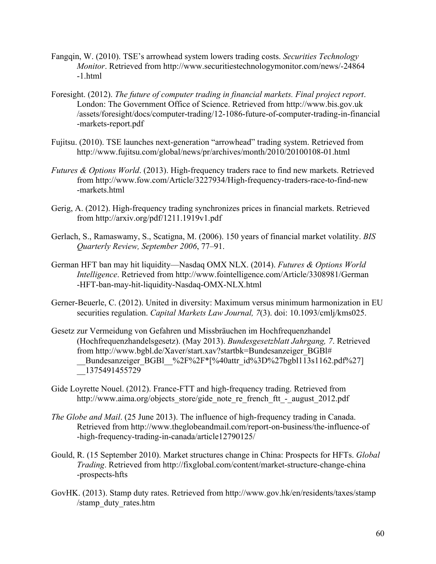- Fangqin, W. (2010). TSE's arrowhead system lowers trading costs. *Securities Technology Monitor*. Retrieved from [http://www.securitiestechnologymonitor.com/news/-24864](http://www.securitiestechnologymonitor.com/news/-24864-1.html) [-1.html](http://www.securitiestechnologymonitor.com/news/-24864-1.html)
- Foresight. (2012). *The future of computer trading in financial markets. Final project report*. London: The Government Office of Science. Retrieved from [http://www.bis.gov.uk](http://www.bis.gov.uk/assets/foresight/docs/computer-trading/12-1086-future-of-computer-trading-in-financial-markets-report.pdf) [/assets/foresight/docs/computer-trading/12-1086-future-of-computer-trading-in-financial](http://www.bis.gov.uk/assets/foresight/docs/computer-trading/12-1086-future-of-computer-trading-in-financial-markets-report.pdf) [-markets-report.pdf](http://www.bis.gov.uk/assets/foresight/docs/computer-trading/12-1086-future-of-computer-trading-in-financial-markets-report.pdf)
- Fujitsu. (2010). TSE launches next-generation "arrowhead" trading system. Retrieved from <http://www.fujitsu.com/global/news/pr/archives/month/2010/20100108-01.html>
- *Futures & Options World*. (2013). High-frequency traders race to find new markets. Retrieved from [http://www.fow.com/Article/3227934/High-frequency-traders-race-to-find-new](http://www.fow.com/Article/3227934/High-frequency-traders-race-to-find-new-markets.html) [-markets.html](http://www.fow.com/Article/3227934/High-frequency-traders-race-to-find-new-markets.html)
- Gerig, A. (2012). High-frequency trading synchronizes prices in financial markets. Retrieved from<http://arxiv.org/pdf/1211.1919v1.pdf>
- Gerlach, S., Ramaswamy, S., Scatigna, M. (2006). 150 years of financial market volatility. *BIS Quarterly Review, September 2006*, 77–91.
- German HFT ban may hit liquidity—Nasdaq OMX NLX. (2014). *Futures & Options World Intelligence*. Retrieved from [http://www.fointelligence.com/Article/3308981/German](http://www.fointelligence.com/Article/3308981/German-HFT-ban-may-hit-liquidity-Nasdaq-OMX-NLX.html) [-HFT-ban-may-hit-liquidity-Nasdaq-OMX-NLX.html](http://www.fointelligence.com/Article/3308981/German-HFT-ban-may-hit-liquidity-Nasdaq-OMX-NLX.html)
- Gerner-Beuerle, C. (2012). United in diversity: Maximum versus minimum harmonization in EU securities regulation. *Capital Markets Law Journal, 7*(3). doi: 10.1093/cmlj/kms025.
- Gesetz zur Vermeidung von Gefahren und Missbräuchen im Hochfrequenzhandel (Hochfrequenzhandelsgesetz). (May 2013). *Bundesgesetzblatt Jahrgang, 7*. Retrieved from [http://www.bgbl.de/Xaver/start.xav?startbk=Bundesanzeiger\\_BGBl#](http://www.bgbl.de/Xaver/start.xav?startbk=Bundesanzeiger_BGBl#__Bundesanzeiger_BGBl__%2F%2F*[%40attr_id%3D%27bgbl113s1162.pdf%27]__1375491455729) Bundesanzeiger\_BGBl\_%2F%2F\*[%40attr\_id%3D%27bgbl113s1162.pdf%27]  $-1375491455729$
- Gide Loyrette Nouel. (2012). France-FTT and high-frequency trading. Retrieved from [http://www.aima.org/objects\\_store/gide\\_note\\_re\\_french\\_ftt\\_-\\_august\\_2012.pdf](http://www.aima.org/objects_store/gide_note_re_french_ftt_-_august_2012.pdf)
- *The Globe and Mail*. (25 June 2013). The influence of high-frequency trading in Canada. Retrieved from [http://www.theglobeandmail.com/report-on-business/the-influence-of](http://www.theglobeandmail.com/report-on-business/the-influence-of-high-frequency-trading-in-canada/article12790125/) [-high-frequency-trading-in-canada/article12790125/](http://www.theglobeandmail.com/report-on-business/the-influence-of-high-frequency-trading-in-canada/article12790125/)
- Gould, R. (15 September 2010). Market structures change in China: Prospects for HFTs. *Global Trading*. Retrieved from [http://fixglobal.com/content/market-structure-change-china](http://fixglobal.com/content/market-structure-change-china-prospects-hfts) [-prospects-hfts](http://fixglobal.com/content/market-structure-change-china-prospects-hfts)
- GovHK. (2013). Stamp duty rates. Retrieved from [http://www.gov.hk/en/residents/taxes/stamp](http://www.gov.hk/en/residents/taxes/stamp/stamp_duty_rates.htm) [/stamp\\_duty\\_rates.htm](http://www.gov.hk/en/residents/taxes/stamp/stamp_duty_rates.htm)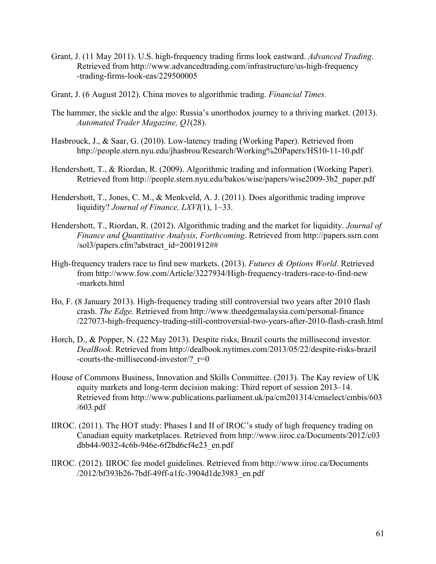- Grant, J. (11 May 2011). U.S. high-frequency trading firms look eastward. *Advanced Trading*. Retrieved from [http://www.advancedtrading.com/infrastructure/us-high-frequency](http://www.advancedtrading.com/infrastructure/us-high-frequency-trading-firms-look-eas/229500005) [-trading-firms-look-eas/229500005](http://www.advancedtrading.com/infrastructure/us-high-frequency-trading-firms-look-eas/229500005)
- Grant, J. (6 August 2012). China moves to algorithmic trading. *Financial Times*.
- The hammer, the sickle and the algo: Russia's unorthodox journey to a thriving market. (2013). *Automated Trader Magazine, Q1*(28).
- Hasbrouck, J., & Saar, G. (2010). Low-latency trading (Working Paper). Retrieved from <http://people.stern.nyu.edu/jhasbrou/Research/Working%20Papers/HS10-11-10.pdf>
- Hendershott, T., & Riordan, R. (2009). Algorithmic trading and information (Working Paper). Retrieved from [http://people.stern.nyu.edu/bakos/wise/papers/wise2009-3b2\\_paper.pdf](http://people.stern.nyu.edu/bakos/wise/papers/wise2009-3b2_paper.pdf)
- Hendershott, T., Jones, C. M., & Menkveld, A. J. (2011). Does algorithmic trading improve liquidity? *Journal of Finance, LXVI*(1), 1–33.
- Hendershott, T., Riordan, R. (2012). Algorithmic trading and the market for liquidity. *Journal of Finance and Quantitative Analysis, Forthcoming*. Retrieved from [http://papers.ssrn.com](http://papers.ssrn.com/sol3/papers.cfm?abstract_id=2001912##) [/sol3/papers.cfm?abstract\\_id=2001912##](http://papers.ssrn.com/sol3/papers.cfm?abstract_id=2001912##)
- High-frequency traders race to find new markets. (2013). *Futures & Options World*. Retrieved from [http://www.fow.com/Article/3227934/High-frequency-traders-race-to-find-new](http://www.fow.com/Article/3227934/High-frequency-traders-race-to-find-new-markets.html) [-markets.html](http://www.fow.com/Article/3227934/High-frequency-traders-race-to-find-new-markets.html)
- Ho, F. (8 January 2013). High-frequency trading still controversial two years after 2010 flash crash. *The Edge*. Retrieved from [http://www.theedgemalaysia.com/personal-finance](http://www.theedgemalaysia.com/personal-finance/227073-high-frequency-trading-still-controversial-two-years-after-2010-flash-crash.html) [/227073-high-frequency-trading-still-controversial-two-years-after-2010-flash-crash.html](http://www.theedgemalaysia.com/personal-finance/227073-high-frequency-trading-still-controversial-two-years-after-2010-flash-crash.html)
- Horch, D., & Popper, N. (22 May 2013). Despite risks, Brazil courts the millisecond investor. *DealBook*. Retrieved from [http://dealbook.nytimes.com/2013/05/22/despite-risks-brazil](http://dealbook.nytimes.com/2013/05/22/despite-risks-brazil-courts-the-millisecond-investor/?_r=0) -courts-the-millisecond-investor/?  $r=0$
- House of Commons Business, Innovation and Skills Committee. (2013). The Kay review of UK equity markets and long-term decision making: Third report of session 2013–14. Retrieved from [http://www.publications.parliament.uk/pa/cm201314/cmselect/cmbis/603](http://www.publications.parliament.uk/pa/cm201314/cmselect/cmbis/603/603.pdf) [/603.pdf](http://www.publications.parliament.uk/pa/cm201314/cmselect/cmbis/603/603.pdf)
- IIROC. (2011). The HOT study: Phases I and II of IROC's study of high frequency trading on Canadian equity marketplaces. Retrieved from [http://www.iiroc.ca/Documents/2012/c03](http://www.iiroc.ca/Documents/2012/c03dbb44-9032-4c6b-946e-6f2bd6cf4e23_en.pdf) [dbb44-9032-4c6b-946e-6f2bd6cf4e23\\_en.pdf](http://www.iiroc.ca/Documents/2012/c03dbb44-9032-4c6b-946e-6f2bd6cf4e23_en.pdf)
- IIROC. (2012). IIROC fee model guidelines. Retrieved from [http://www.iiroc.ca/Documents](http://www.iiroc.ca/Documents/2012/bf393b26-7bdf-49ff-a1fc-3904d1de3983_en.pdf) [/2012/bf393b26-7bdf-49ff-a1fc-3904d1de3983\\_en.pdf](http://www.iiroc.ca/Documents/2012/bf393b26-7bdf-49ff-a1fc-3904d1de3983_en.pdf)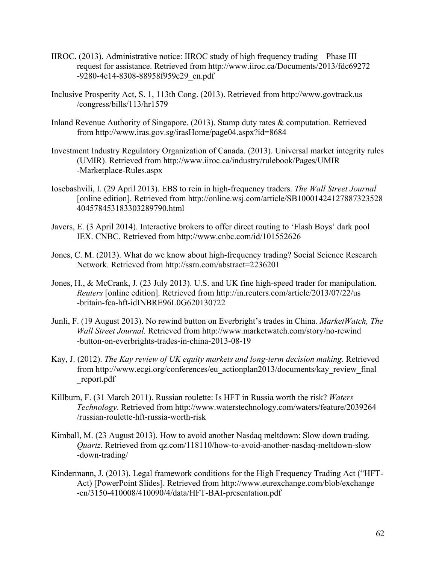- IIROC. (2013). Administrative notice: IIROC study of high frequency trading—Phase III request for assistance. Retrieved from [http://www.iiroc.ca/Documents/2013/fdc69272](http://www.iiroc.ca/Documents/2013/fdc69272-9280-4e14-8308-88958f959c29_en.pdf) [-9280-4e14-8308-88958f959c29\\_en.pdf](http://www.iiroc.ca/Documents/2013/fdc69272-9280-4e14-8308-88958f959c29_en.pdf)
- Inclusive Prosperity Act, S. 1, 113th Cong. (2013). Retrieved from [http://www.govtrack.us](http://www.govtrack.us/congress/bills/113/hr1579) [/congress/bills/113/hr1579](http://www.govtrack.us/congress/bills/113/hr1579)
- Inland Revenue Authority of Singapore. (2013). Stamp duty rates & computation. Retrieved from<http://www.iras.gov.sg/irasHome/page04.aspx?id=8684>
- Investment Industry Regulatory Organization of Canada. (2013). Universal market integrity rules (UMIR). Retrieved from [http://www.iiroc.ca/industry/rulebook/Pages/UMIR](http://www.iiroc.ca/industry/rulebook/Pages/UMIR-Marketplace-Rules.aspx) [-Marketplace-Rules.aspx](http://www.iiroc.ca/industry/rulebook/Pages/UMIR-Marketplace-Rules.aspx)
- Iosebashvili, I. (29 April 2013). EBS to rein in high-frequency traders. *The Wall Street Journal*  [online edition]. Retrieved from [http://online.wsj.com/article/SB10001424127887323528](http://online.wsj.com/article/SB10001424127887323528404578453183303289790.html) [404578453183303289790.html](http://online.wsj.com/article/SB10001424127887323528404578453183303289790.html)
- Javers, E. (3 April 2014). Interactive brokers to offer direct routing to 'Flash Boys' dark pool IEX. CNBC. Retrieved from <http://www.cnbc.com/id/101552626>
- Jones, C. M. (2013). What do we know about high-frequency trading? Social Science Research Network. Retrieved from <http://ssrn.com/abstract=2236201>
- Jones, H., & McCrank, J. (23 July 2013). U.S. and UK fine high-speed trader for manipulation. *Reuters* [online edition]. Retrieved from [http://in.reuters.com/article/2013/07/22/us](http://in.reuters.com/article/2013/07/22/us-britain-fca-hft-idINBRE96L0G620130722) [-britain-fca-hft-idINBRE96L0G620130722](http://in.reuters.com/article/2013/07/22/us-britain-fca-hft-idINBRE96L0G620130722)
- Junli, F. (19 August 2013). No rewind button on Everbright's trades in China. *MarketWatch, The Wall Street Journal.* Retrieved from [http://www.marketwatch.com/story/no-rewind](http://www.marketwatch.com/story/no-rewind-button-on-everbrights-trades-in-china-2013-08-19) [-button-on-everbrights-trades-in-china-2013-08-19](http://www.marketwatch.com/story/no-rewind-button-on-everbrights-trades-in-china-2013-08-19)
- Kay, J. (2012). *The Kay review of UK equity markets and long-term decision making*. Retrieved from [http://www.ecgi.org/conferences/eu\\_actionplan2013/documents/kay\\_review\\_final](http://www.ecgi.org/conferences/eu_actionplan2013/documents/kay_review_final_report.pdf) [\\_report.pdf](http://www.ecgi.org/conferences/eu_actionplan2013/documents/kay_review_final_report.pdf)
- Killburn, F. (31 March 2011). Russian roulette: Is HFT in Russia worth the risk? *Waters Technology*. Retrieved from [http://www.waterstechnology.com/waters/feature/2039264](http://www.waterstechnology.com/waters/feature/2039264/russian-roulette-hft-russia-worth-risk) [/russian-roulette-hft-russia-worth-risk](http://www.waterstechnology.com/waters/feature/2039264/russian-roulette-hft-russia-worth-risk)
- Kimball, M. (23 August 2013). How to avoid another Nasdaq meltdown: Slow down trading. *Quartz*. Retrieved from [qz.com/118110/how-to-avoid-another-nasdaq-meltdown-slow](qz.com/118110/how-to-avoid-another-nasdaq-meltdown-slow-down-trading/) [-down-trading/](qz.com/118110/how-to-avoid-another-nasdaq-meltdown-slow-down-trading/)
- Kindermann, J. (2013). Legal framework conditions for the High Frequency Trading Act ("HFT-Act) [PowerPoint Slides]. Retrieved from [http://www.eurexchange.com/blob/exchange](http://www.eurexchange.com/blob/exchange-en/3150-410008/410090/4/data/HFT-BAI-presentation.pdf) [-en/3150-410008/410090/4/data/HFT-BAI-presentation.pdf](http://www.eurexchange.com/blob/exchange-en/3150-410008/410090/4/data/HFT-BAI-presentation.pdf)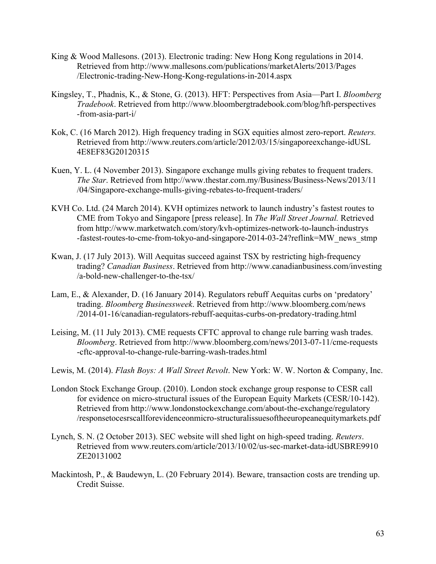- King & Wood Mallesons. (2013). Electronic trading: New Hong Kong regulations in 2014. Retrieved from [http://www.mallesons.com/publications/marketAlerts/2013/Pages](http://www.mallesons.com/publications/marketAlerts/2013/Pages/Electronic-trading-New-Hong-Kong-regulations-in-2014.aspx) [/Electronic-trading-New-Hong-Kong-regulations-in-2014.aspx](http://www.mallesons.com/publications/marketAlerts/2013/Pages/Electronic-trading-New-Hong-Kong-regulations-in-2014.aspx)
- Kingsley, T., Phadnis, K., & Stone, G. (2013). HFT: Perspectives from Asia—Part I. *Bloomberg Tradebook*. Retrieved from [http://www.bloombergtradebook.com/blog/hft-perspectives](http://www.bloombergtradebook.com/blog/hft-perspectives-from-asia-part-i/) [-from-asia-part-i/](http://www.bloombergtradebook.com/blog/hft-perspectives-from-asia-part-i/)
- Kok, C. (16 March 2012). High frequency trading in SGX equities almost zero-report. *Reuters.*  Retrieved from [http://www.reuters.com/article/2012/03/15/singaporeexchange-idUSL](http://www.reuters.com/article/2012/03/15/singaporeexchange-idUSL4E8EF83G20120315) [4E8EF83G20120315](http://www.reuters.com/article/2012/03/15/singaporeexchange-idUSL4E8EF83G20120315)
- Kuen, Y. L. (4 November 2013). Singapore exchange mulls giving rebates to frequent traders. *The Star*. Retrieved from [http://www.thestar.com.my/Business/Business-News/2013/11](http://www.thestar.com.my/Business/Business-News/2013/11/04/Singapore-exchange-mulls-giving-rebates-to-frequent-traders/) [/04/Singapore-exchange-mulls-giving-rebates-to-frequent-traders/](http://www.thestar.com.my/Business/Business-News/2013/11/04/Singapore-exchange-mulls-giving-rebates-to-frequent-traders/)
- KVH Co. Ltd. (24 March 2014). KVH optimizes network to launch industry's fastest routes to CME from Tokyo and Singapore [press release]. In *The Wall Street Journal.* Retrieved from [http://www.marketwatch.com/story/kvh-optimizes-network-to-launch-industrys](http://www.marketwatch.com/story/kvh-optimizes-network-to-launch-industrys-fastest-routes-to-cme-from-tokyo-and-singapore-2014-03-24?reflink=MW_news_stmp) [-fastest-routes-to-cme-from-tokyo-and-singapore-2014-03-24?reflink=MW\\_news\\_stmp](http://www.marketwatch.com/story/kvh-optimizes-network-to-launch-industrys-fastest-routes-to-cme-from-tokyo-and-singapore-2014-03-24?reflink=MW_news_stmp)
- Kwan, J. (17 July 2013). Will Aequitas succeed against TSX by restricting high-frequency trading? *Canadian Business*. Retrieved from [http://www.canadianbusiness.com/investing](http://www.canadianbusiness.com/investing/a-bold-new-challenger-to-the-tsx/) [/a-bold-new-challenger-to-the-tsx/](http://www.canadianbusiness.com/investing/a-bold-new-challenger-to-the-tsx/)
- Lam, E., & Alexander, D. (16 January 2014). Regulators rebuff Aequitas curbs on 'predatory' trading. *Bloomberg Businessweek*. Retrieved from [http://www.bloomberg.com/news](http://www.bloomberg.com/news/2014-01-16/canadian-regulators-rebuff-aequitas-curbs-on-predatory-trading.html) [/2014-01-16/canadian-regulators-rebuff-aequitas-curbs-on-predatory-trading.html](http://www.bloomberg.com/news/2014-01-16/canadian-regulators-rebuff-aequitas-curbs-on-predatory-trading.html)
- Leising, M. (11 July 2013). CME requests CFTC approval to change rule barring wash trades. *Bloomberg*. Retrieved from [http://www.bloomberg.com/news/2013-07-11/cme-requests](http://www.bloomberg.com/news/2013-07-11/cme-requests-cftc-approval-to-change-rule-barring-wash-trades.html) [-cftc-approval-to-change-rule-barring-wash-trades.html](http://www.bloomberg.com/news/2013-07-11/cme-requests-cftc-approval-to-change-rule-barring-wash-trades.html)
- Lewis, M. (2014). *Flash Boys: A Wall Street Revolt*. New York: W. W. Norton & Company, Inc.
- London Stock Exchange Group. (2010). London stock exchange group response to CESR call for evidence on micro-structural issues of the European Equity Markets (CESR/10-142). Retrieved from [http://www.londonstockexchange.com/about-the-exchange/regulatory](http://www.londonstockexchange.com/about-the-exchange/regulatory/responsetocesrscallforevidenceonmicro-structuralissuesoftheeuropeanequitymarkets.pdf) [/responsetocesrscallforevidenceonmicro-structuralissuesoftheeuropeanequitymarkets.pdf](http://www.londonstockexchange.com/about-the-exchange/regulatory/responsetocesrscallforevidenceonmicro-structuralissuesoftheeuropeanequitymarkets.pdf)
- Lynch, S. N. (2 October 2013). SEC website will shed light on high-speed trading. *Reuters*. Retrieved from [www.reuters.com/article/2013/10/02/us-sec-market-data-idUSBRE9910](www.reuters.com/article/2013/10/02/us-sec-market-data-idUSBRE9910ZE20131002) [ZE20131002](www.reuters.com/article/2013/10/02/us-sec-market-data-idUSBRE9910ZE20131002)
- Mackintosh, P., & Baudewyn, L. (20 February 2014). Beware, transaction costs are trending up. Credit Suisse.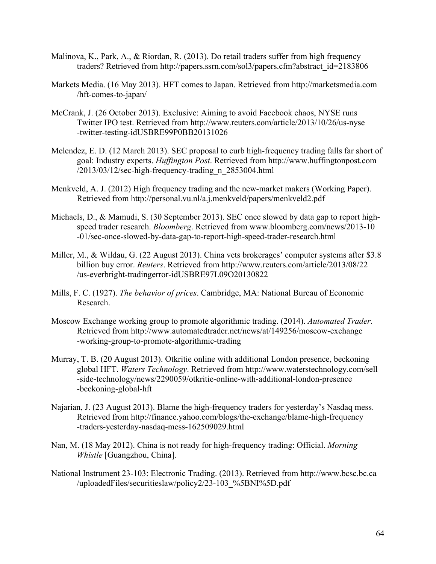- Malinova, K., Park, A., & Riordan, R. (2013). Do retail traders suffer from high frequency traders? Retrieved from [http://papers.ssrn.com/sol3/papers.cfm?abstract\\_id=2183806](http://papers.ssrn.com/sol3/papers.cfm?abstract_id=2183806)
- Markets Media. (16 May 2013). HFT comes to Japan. Retrieved from [http://marketsmedia.com](http://marketsmedia.com/hft-comes-to-japan/) [/hft-comes-to-japan/](http://marketsmedia.com/hft-comes-to-japan/)
- McCrank, J. (26 October 2013). Exclusive: Aiming to avoid Facebook chaos, NYSE runs Twitter IPO test. Retrieved from [http://www.reuters.com/article/2013/10/26/us-nyse](http://www.reuters.com/article/2013/10/26/us-nyse-twitter-testing-idUSBRE99P0BB20131026) [-twitter-testing-idUSBRE99P0BB20131026](http://www.reuters.com/article/2013/10/26/us-nyse-twitter-testing-idUSBRE99P0BB20131026)
- Melendez, E. D. (12 March 2013). SEC proposal to curb high-frequency trading falls far short of goal: Industry experts. *Huffington Post*. Retrieved from [http://www.huffingtonpost.com](http://www.huffingtonpost.com/2013/03/12/sec-high-frequency-trading_n_2853004.html) [/2013/03/12/sec-high-frequency-trading\\_n\\_2853004.html](http://www.huffingtonpost.com/2013/03/12/sec-high-frequency-trading_n_2853004.html)
- Menkveld, A. J. (2012) High frequency trading and the new-market makers (Working Paper). Retrieved from<http://personal.vu.nl/a.j.menkveld/papers/menkveld2.pdf>
- Michaels, D., & Mamudi, S. (30 September 2013). SEC once slowed by data gap to report highspeed trader research. *Bloomberg*. Retrieved from [www.bloomberg.com/news/2013-10](www.bloomberg.com/news/2013-10-01/sec-once-slowed-by-data-gap-to-report-high-speed-trader-research.html) [-01/sec-once-slowed-by-data-gap-to-report-high-speed-trader-research.html](www.bloomberg.com/news/2013-10-01/sec-once-slowed-by-data-gap-to-report-high-speed-trader-research.html)
- Miller, M., & Wildau, G. (22 August 2013). China vets brokerages' computer systems after \$3.8 billion buy error. *Reuters*. Retrieved from [http://www.reuters.com/article/2013/08/22](http://www.reuters.com/article/2013/08/22/us-everbright-tradingerror-idUSBRE97L09O20130822) [/us-everbright-tradingerror-idUSBRE97L09O20130822](http://www.reuters.com/article/2013/08/22/us-everbright-tradingerror-idUSBRE97L09O20130822)
- Mills, F. C. (1927). *The behavior of prices*. Cambridge, MA: National Bureau of Economic Research.
- Moscow Exchange working group to promote algorithmic trading. (2014). *Automated Trader*. Retrieved from [http://www.automatedtrader.net/news/at/149256/moscow-exchange](http://www.automatedtrader.net/news/at/149256/moscow-exchange-working-group-to-promote-algorithmic-trading) [-working-group-to-promote-algorithmic-trading](http://www.automatedtrader.net/news/at/149256/moscow-exchange-working-group-to-promote-algorithmic-trading)
- Murray, T. B. (20 August 2013). Otkritie online with additional London presence, beckoning global HFT. *Waters Technology*. Retrieved from [http://www.waterstechnology.com/sell](http://www.waterstechnology.com/sell-side-technology/news/2290059/otkritie-online-with-additional-london-presence-beckoning-global-hft) [-side-technology/news/2290059/otkritie-online-with-additional-london-presence](http://www.waterstechnology.com/sell-side-technology/news/2290059/otkritie-online-with-additional-london-presence-beckoning-global-hft) [-beckoning-global-hft](http://www.waterstechnology.com/sell-side-technology/news/2290059/otkritie-online-with-additional-london-presence-beckoning-global-hft)
- Najarian, J. (23 August 2013). Blame the high-frequency traders for yesterday's Nasdaq mess. Retrieved from [http://finance.yahoo.com/blogs/the-exchange/blame-high-frequency](http://finance.yahoo.com/blogs/the-exchange/blame-high-frequency-traders-yesterday-nasdaq-mess-162509029.html) [-traders-yesterday-nasdaq-mess-162509029.html](http://finance.yahoo.com/blogs/the-exchange/blame-high-frequency-traders-yesterday-nasdaq-mess-162509029.html)
- Nan, M. (18 May 2012). China is not ready for high-frequency trading: Official. *Morning Whistle* [Guangzhou, China].
- National Instrument 23-103: Electronic Trading. (2013). Retrieved from [http://www.bcsc.bc.ca](http://www.bcsc.bc.ca/uploadedFiles/securitieslaw/policy2/23-103_%5BNI%5D.pdf) [/uploadedFiles/securitieslaw/policy2/23-103\\_%5BNI%5D.pdf](http://www.bcsc.bc.ca/uploadedFiles/securitieslaw/policy2/23-103_%5BNI%5D.pdf)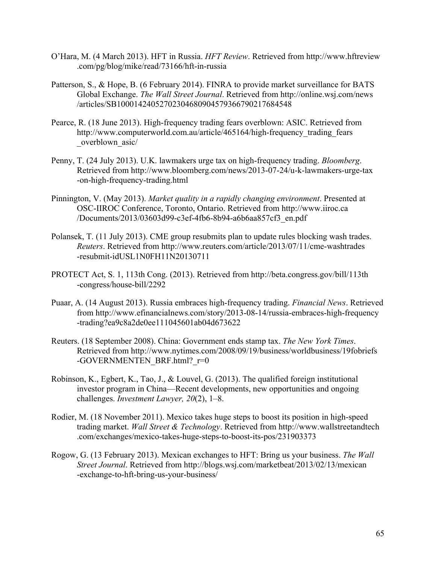- O'Hara, M. (4 March 2013). HFT in Russia. *HFT Review*. Retrieved from [http://www.hftreview](http://www.hftreview.com/pg/blog/mike/read/73166/hft-in-russia) [.com/pg/blog/mike/read/73166/hft-in-russia](http://www.hftreview.com/pg/blog/mike/read/73166/hft-in-russia)
- Patterson, S., & Hope, B. (6 February 2014). FINRA to provide market surveillance for BATS Global Exchange. *The Wall Street Journal*. Retrieved from [http://online.wsj.com/news](http://online.wsj.com/news/articles/SB10001424052702304680904579366790217684548) [/articles/SB10001424052702304680904579366790217684548](http://online.wsj.com/news/articles/SB10001424052702304680904579366790217684548)
- Pearce, R. (18 June 2013). High-frequency trading fears overblown: ASIC. Retrieved from http://www.computerworld.com.au/article/465164/high-frequency trading fears overblown asic/
- Penny, T. (24 July 2013). U.K. lawmakers urge tax on high-frequency trading. *Bloomberg*. Retrieved from [http://www.bloomberg.com/news/2013-07-24/u-k-lawmakers-urge-tax](http://www.bloomberg.com/news/2013-07-24/u-k-lawmakers-urge-tax-on-high-frequency-trading.html) [-on-high-frequency-trading.html](http://www.bloomberg.com/news/2013-07-24/u-k-lawmakers-urge-tax-on-high-frequency-trading.html)
- Pinnington, V. (May 2013). *Market quality in a rapidly changing environment*. Presented at OSC-IIROC Conference, Toronto, Ontario. Retrieved from [http://www.iiroc.ca](http://www.iiroc.ca/Documents/2013/03603d99-c3ef-4fb6-8b94-a6b6aa857cf3_en.pdf) [/Documents/2013/03603d99-c3ef-4fb6-8b94-a6b6aa857cf3\\_en.pdf](http://www.iiroc.ca/Documents/2013/03603d99-c3ef-4fb6-8b94-a6b6aa857cf3_en.pdf)
- Polansek, T. (11 July 2013). CME group resubmits plan to update rules blocking wash trades. *Reuters*. Retrieved from [http://www.reuters.com/article/2013/07/11/cme-washtrades](http://www.reuters.com/article/2013/07/11/cme-washtrades-resubmit-idUSL1N0FH11N20130711) [-resubmit-idUSL1N0FH11N20130711](http://www.reuters.com/article/2013/07/11/cme-washtrades-resubmit-idUSL1N0FH11N20130711)
- PROTECT Act, S. 1, 113th Cong. (2013). Retrieved from [http://beta.congress.gov/bill/113th](http://beta.congress.gov/bill/113th-congress/house-bill/2292) [-congress/house-bill/2292](http://beta.congress.gov/bill/113th-congress/house-bill/2292)
- Puaar, A. (14 August 2013). Russia embraces high-frequency trading. *Financial News*. Retrieved from [http://www.efinancialnews.com/story/2013-08-14/russia-embraces-high-frequency](http://www.efinancialnews.com/story/2013-08-14/russia-embraces-high-frequency-trading?ea9c8a2de0ee111045601ab04d673622) [-trading?ea9c8a2de0ee111045601ab04d673622](http://www.efinancialnews.com/story/2013-08-14/russia-embraces-high-frequency-trading?ea9c8a2de0ee111045601ab04d673622)
- Reuters. (18 September 2008). China: Government ends stamp tax. *The New York Times*. Retrieved from [http://www.nytimes.com/2008/09/19/business/worldbusiness/19fobriefs](http://www.nytimes.com/2008/09/19/business/worldbusiness/19fobriefs-GOVERNMENTEN_BRF.html?_r=0) [-GOVERNMENTEN\\_BRF.html?\\_r=0](http://www.nytimes.com/2008/09/19/business/worldbusiness/19fobriefs-GOVERNMENTEN_BRF.html?_r=0)
- Robinson, K., Egbert, K., Tao, J., & Louvel, G. (2013). The qualified foreign institutional investor program in China—Recent developments, new opportunities and ongoing challenges. *Investment Lawyer, 20*(2), 1–8.
- Rodier, M. (18 November 2011). Mexico takes huge steps to boost its position in high-speed trading market. *Wall Street & Technology*. Retrieved from [http://www.wallstreetandtech](http://www.wallstreetandtech.com/exchanges/mexico-takes-huge-steps-to-boost-its-pos/231903373) [.com/exchanges/mexico-takes-huge-steps-to-boost-its-pos/231903373](http://www.wallstreetandtech.com/exchanges/mexico-takes-huge-steps-to-boost-its-pos/231903373)
- Rogow, G. (13 February 2013). Mexican exchanges to HFT: Bring us your business. *The Wall Street Journal*. Retrieved from [http://blogs.wsj.com/marketbeat/2013/02/13/mexican](http://blogs.wsj.com/marketbeat/2013/02/13/mexican-exchange-to-hft-bring-us-your-business/) [-exchange-to-hft-bring-us-your-business/](http://blogs.wsj.com/marketbeat/2013/02/13/mexican-exchange-to-hft-bring-us-your-business/)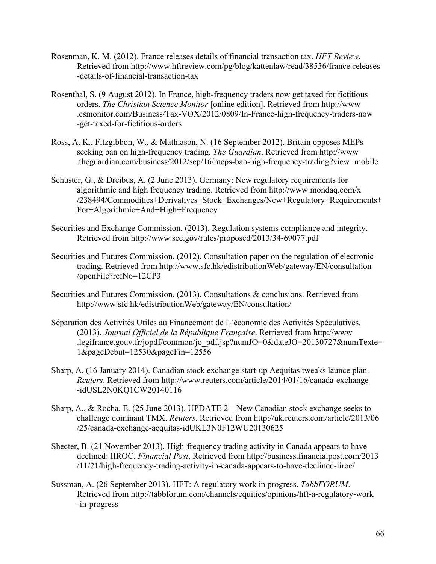- Rosenman, K. M. (2012). France releases details of financial transaction tax. *HFT Review*. Retrieved from [http://www.hftreview.com/pg/blog/kattenlaw/read/38536/france-releases](http://www.hftreview.com/pg/blog/kattenlaw/read/38536/france-releases-details-of-financial-transaction-tax) [-details-of-financial-transaction-tax](http://www.hftreview.com/pg/blog/kattenlaw/read/38536/france-releases-details-of-financial-transaction-tax)
- Rosenthal, S. (9 August 2012). In France, high-frequency traders now get taxed for fictitious orders. *The Christian Science Monitor* [online edition]. Retrieved from [http://www](http://www.csmonitor.com/Business/Tax-VOX/2012/0809/In-France-high-frequency-traders-now-get-taxed-for-fictitious-orders) [.csmonitor.com/Business/Tax-VOX/2012/0809/In-France-high-frequency-traders-now](http://www.csmonitor.com/Business/Tax-VOX/2012/0809/In-France-high-frequency-traders-now-get-taxed-for-fictitious-orders) [-get-taxed-for-fictitious-orders](http://www.csmonitor.com/Business/Tax-VOX/2012/0809/In-France-high-frequency-traders-now-get-taxed-for-fictitious-orders)
- Ross, A. K., Fitzgibbon, W., & Mathiason, N. (16 September 2012). Britain opposes MEPs seeking ban on high-frequency trading. *The Guardian*. Retrieved from [http://www](http://www.theguardian.com/business/2012/sep/16/meps-ban-high-frequency-trading?view=mobile) [.theguardian.com/business/2012/sep/16/meps-ban-high-frequency-trading?view=mobile](http://www.theguardian.com/business/2012/sep/16/meps-ban-high-frequency-trading?view=mobile)
- Schuster, G., & Dreibus, A. (2 June 2013). Germany: New regulatory requirements for algorithmic and high frequency trading. Retrieved from [http://www.mondaq.com/x](http://www.mondaq.com/x/238494/Commodities+Derivatives+Stock+Exchanges/New+Regulatory+Requirements+For+Algorithmic+And+High+Frequency) [/238494/Commodities+Derivatives+Stock+Exchanges/New+Regulatory+Requirements+](http://www.mondaq.com/x/238494/Commodities+Derivatives+Stock+Exchanges/New+Regulatory+Requirements+For+Algorithmic+And+High+Frequency) [For+Algorithmic+And+High+Frequency](http://www.mondaq.com/x/238494/Commodities+Derivatives+Stock+Exchanges/New+Regulatory+Requirements+For+Algorithmic+And+High+Frequency)
- Securities and Exchange Commission. (2013). Regulation systems compliance and integrity. Retrieved from <http://www.sec.gov/rules/proposed/2013/34-69077.pdf>
- Securities and Futures Commission. (2012). Consultation paper on the regulation of electronic trading. Retrieved from [http://www.sfc.hk/edistributionWeb/gateway/EN/consultation](http://www.sfc.hk/edistributionWeb/gateway/EN/consultation/openFile?refNo=12CP3) [/openFile?refNo=12CP3](http://www.sfc.hk/edistributionWeb/gateway/EN/consultation/openFile?refNo=12CP3)
- Securities and Futures Commission. (2013). Consultations & conclusions. Retrieved from <http://www.sfc.hk/edistributionWeb/gateway/EN/consultation/>
- Séparation des Activités Utiles au Financement de L'économie des Activités Spéculatives. (2013). *Journal Officiel de la République Française*. Retrieved from [http://www](http://www.legifrance.gouv.fr/jopdf/common/jo_pdf.jsp?numJO=0&dateJO=20130727&numTexte=1&pageDebut=12530&pageFin=12556) [.legifrance.gouv.fr/jopdf/common/jo\\_pdf.jsp?numJO=0&dateJO=20130727&numTexte=](http://www.legifrance.gouv.fr/jopdf/common/jo_pdf.jsp?numJO=0&dateJO=20130727&numTexte=1&pageDebut=12530&pageFin=12556) [1&pageDebut=12530&pageFin=12556](http://www.legifrance.gouv.fr/jopdf/common/jo_pdf.jsp?numJO=0&dateJO=20130727&numTexte=1&pageDebut=12530&pageFin=12556)
- Sharp, A. (16 January 2014). Canadian stock exchange start-up Aequitas tweaks launce plan. *Reuters*. Retrieved from [http://www.reuters.com/article/2014/01/16/canada-exchange](http://www.reuters.com/article/2014/01/16/canada-exchange-idUSL2N0KQ1CW20140116) [-idUSL2N0KQ1CW20140116](http://www.reuters.com/article/2014/01/16/canada-exchange-idUSL2N0KQ1CW20140116)
- Sharp, A., & Rocha, E. (25 June 2013). UPDATE 2—New Canadian stock exchange seeks to challenge dominant TMX. *Reuters*. Retrieved from [http://uk.reuters.com/article/2013/06](http://uk.reuters.com/article/2013/06/25/canada-exchange-aequitas-idUKL3N0F12WU20130625) [/25/canada-exchange-aequitas-idUKL3N0F12WU20130625](http://uk.reuters.com/article/2013/06/25/canada-exchange-aequitas-idUKL3N0F12WU20130625)
- Shecter, B. (21 November 2013). High-frequency trading activity in Canada appears to have declined: IIROC. *Financial Post*. Retrieved from [http://business.financialpost.com/2013](http://business.financialpost.com/2013/11/21/high-frequency-trading-activity-in-canada-appears-to-have-declined-iiroc/) [/11/21/high-frequency-trading-activity-in-canada-appears-to-have-declined-iiroc/](http://business.financialpost.com/2013/11/21/high-frequency-trading-activity-in-canada-appears-to-have-declined-iiroc/)
- Sussman, A. (26 September 2013). HFT: A regulatory work in progress. *TabbFORUM*. Retrieved from [http://tabbforum.com/channels/equities/opinions/hft-a-regulatory-work](http://tabbforum.com/channels/equities/opinions/hft-a-regulatory-work-in-progress) [-in-progress](http://tabbforum.com/channels/equities/opinions/hft-a-regulatory-work-in-progress)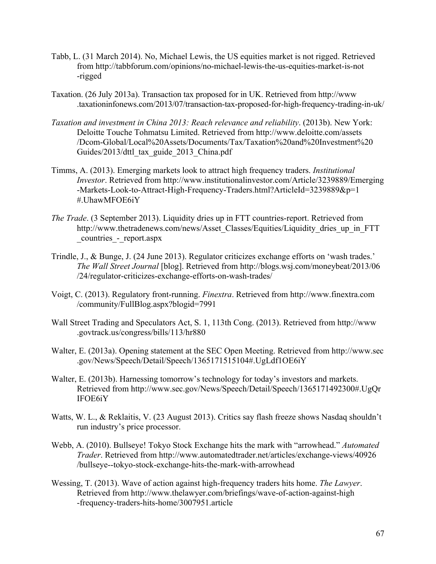- Tabb, L. (31 March 2014). No, Michael Lewis, the US equities market is not rigged. Retrieved from [http://tabbforum.com/opinions/no-michael-lewis-the-us-equities-market-is-not](http://tabbforum.com/opinions/no-michael-lewis-the-us-equities-market-is-not-rigged) [-rigged](http://tabbforum.com/opinions/no-michael-lewis-the-us-equities-market-is-not-rigged)
- Taxation. (26 July 2013a). Transaction tax proposed for in UK. Retrieved from [http://www](http://www.taxationinfonews.com/2013/07/transaction-tax-proposed-for-high-frequency-trading-in-uk/) [.taxationinfonews.com/2013/07/transaction-tax-proposed-for-high-frequency-trading-in-uk/](http://www.taxationinfonews.com/2013/07/transaction-tax-proposed-for-high-frequency-trading-in-uk/)
- *Taxation and investment in China 2013: Reach relevance and reliability*. (2013b). New York: Deloitte Touche Tohmatsu Limited. Retrieved from [http://www.deloitte.com/assets](http://www.deloitte.com/assets/Dcom-Global/Local%20Assets/Documents/Tax/Taxation%20and%20Investment%20Guides/2013/dttl_tax_guide_2013_China.pdf) [/Dcom-Global/Local%20Assets/Documents/Tax/Taxation%20and%20Investment%20](http://www.deloitte.com/assets/Dcom-Global/Local%20Assets/Documents/Tax/Taxation%20and%20Investment%20Guides/2013/dttl_tax_guide_2013_China.pdf) [Guides/2013/dttl\\_tax\\_guide\\_2013\\_China.pdf](http://www.deloitte.com/assets/Dcom-Global/Local%20Assets/Documents/Tax/Taxation%20and%20Investment%20Guides/2013/dttl_tax_guide_2013_China.pdf)
- Timms, A. (2013). Emerging markets look to attract high frequency traders. *Institutional Investor*. Retrieved from [http://www.institutionalinvestor.com/Article/3239889/Emerging](http://www.institutionalinvestor.com/Article/3239889/Emerging-Markets-Look-to-Attract-High-Frequency-Traders.html?ArticleId=3239889&p=1#.UhawMFOE6iY) [-Markets-Look-to-Attract-High-Frequency-Traders.html?ArticleId=3239889&p=1](http://www.institutionalinvestor.com/Article/3239889/Emerging-Markets-Look-to-Attract-High-Frequency-Traders.html?ArticleId=3239889&p=1#.UhawMFOE6iY) [#.UhawMFOE6iY](http://www.institutionalinvestor.com/Article/3239889/Emerging-Markets-Look-to-Attract-High-Frequency-Traders.html?ArticleId=3239889&p=1#.UhawMFOE6iY)
- *The Trade*. (3 September 2013). Liquidity dries up in FTT countries-report. Retrieved from [http://www.thetradenews.com/news/Asset\\_Classes/Equities/Liquidity\\_dries\\_up\\_in\\_FTT](http://www.thetradenews.com/news/Asset_Classes/Equities/Liquidity_dries_up_in_FTT_countries_-_report.aspx) [\\_countries\\_-\\_report.aspx](http://www.thetradenews.com/news/Asset_Classes/Equities/Liquidity_dries_up_in_FTT_countries_-_report.aspx)
- Trindle, J., & Bunge, J. (24 June 2013). Regulator criticizes exchange efforts on 'wash trades.' *The Wall Street Journal* [blog]. Retrieved from [http://blogs.wsj.com/moneybeat/2013/06](http://blogs.wsj.com/moneybeat/2013/06/24/regulator-criticizes-exchange-efforts-on-wash-trades/) [/24/regulator-criticizes-exchange-efforts-on-wash-trades/](http://blogs.wsj.com/moneybeat/2013/06/24/regulator-criticizes-exchange-efforts-on-wash-trades/)
- Voigt, C. (2013). Regulatory front-running. *Finextra*. Retrieved from [http://www.finextra.com](http://www.finextra.com/community/FullBlog.aspx?blogid=7991) [/community/FullBlog.aspx?blogid=7991](http://www.finextra.com/community/FullBlog.aspx?blogid=7991)
- Wall Street Trading and Speculators Act, S. 1, 113th Cong. (2013). Retrieved from [http://www](http://www.govtrack.us/congress/bills/113/hr880) [.govtrack.us/congress/bills/113/hr880](http://www.govtrack.us/congress/bills/113/hr880)
- Walter, E. (2013a). Opening statement at the SEC Open Meeting. Retrieved from [http://www.sec](http://www.sec.gov/News/Speech/Detail/Speech/1365171515104#.UgLdf1OE6iY) [.gov/News/Speech/Detail/Speech/1365171515104#.UgLdf1OE6iY](http://www.sec.gov/News/Speech/Detail/Speech/1365171515104#.UgLdf1OE6iY)
- Walter, E. (2013b). Harnessing tomorrow's technology for today's investors and markets. Retrieved from [http://www.sec.gov/News/Speech/Detail/Speech/1365171492300#.UgQr](http://www.sec.gov/News/Speech/Detail/Speech/1365171492300#.UgQrIFOE6iY) [IFOE6iY](http://www.sec.gov/News/Speech/Detail/Speech/1365171492300#.UgQrIFOE6iY)
- Watts, W. L., & Reklaitis, V. (23 August 2013). Critics say flash freeze shows Nasdaq shouldn't run industry's price processor.
- Webb, A. (2010). Bullseye! Tokyo Stock Exchange hits the mark with "arrowhead." *Automated Trader*. Retrieved from [http://www.automatedtrader.net/articles/exchange-views/40926](http://www.automatedtrader.net/articles/exchange-views/40926/bullseye--tokyo-stock-exchange-hits-the-mark-with-arrowhead) [/bullseye--tokyo-stock-exchange-hits-the-mark-with-arrowhead](http://www.automatedtrader.net/articles/exchange-views/40926/bullseye--tokyo-stock-exchange-hits-the-mark-with-arrowhead)
- Wessing, T. (2013). Wave of action against high-frequency traders hits home. *The Lawyer*. Retrieved from [http://www.thelawyer.com/briefings/wave-of-action-against-high](http://www.thelawyer.com/briefings/wave-of-action-against-high-frequency-traders-hits-home/3007951.article) [-frequency-traders-hits-home/3007951.article](http://www.thelawyer.com/briefings/wave-of-action-against-high-frequency-traders-hits-home/3007951.article)